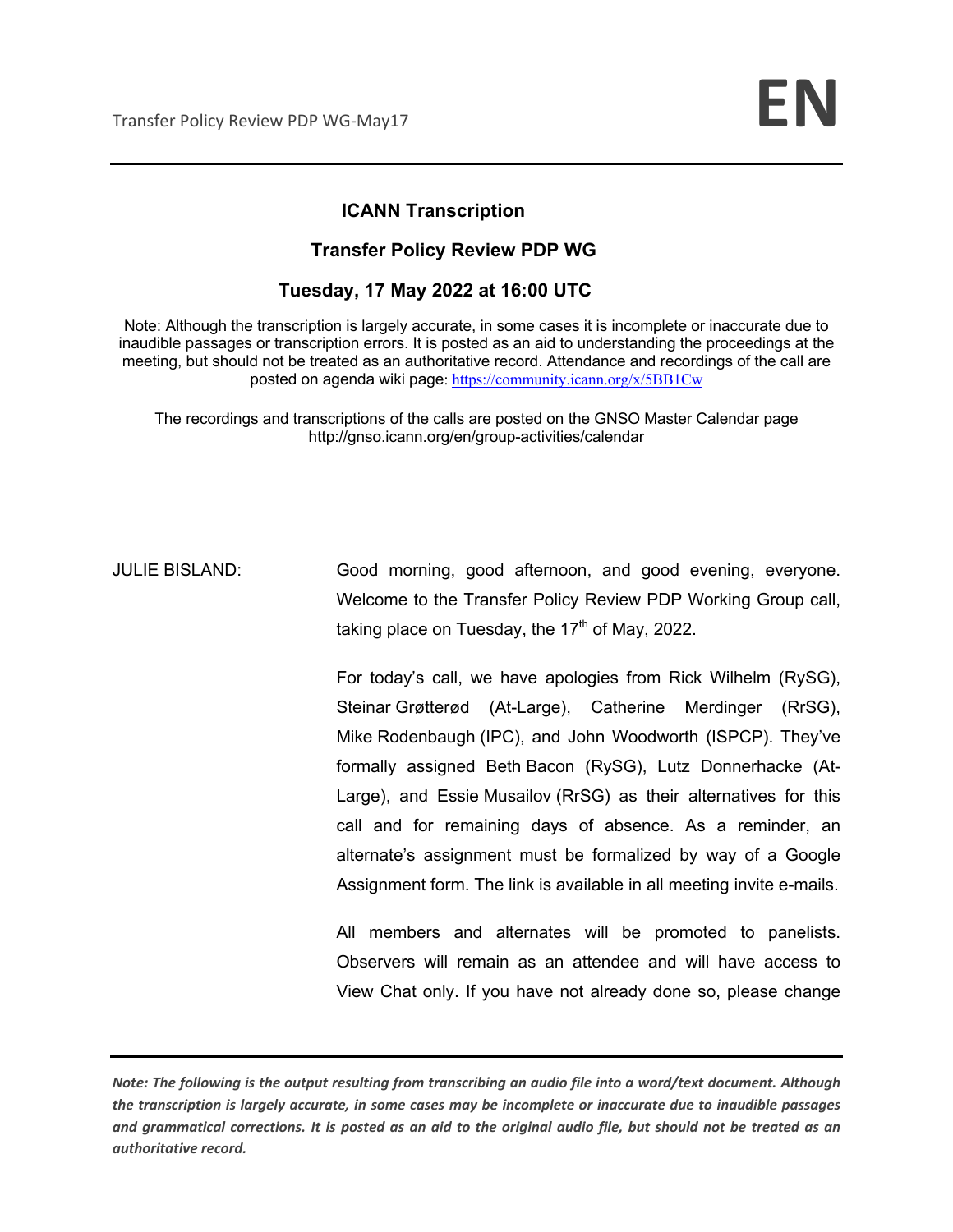## **ICANN Transcription**

### **Transfer Policy Review PDP WG**

## **Tuesday, 17 May 2022 at 16:00 UTC**

Note: Although the transcription is largely accurate, in some cases it is incomplete or inaccurate due to inaudible passages or transcription errors. It is posted as an aid to understanding the proceedings at the meeting, but should not be treated as an authoritative record. Attendance and recordings of the call are posted on agenda wiki page: https://community.icann.org/x/5BB1Cw

The recordings and transcriptions of the calls are posted on the GNSO Master Calendar page http://gnso.icann.org/en/group-activities/calendar

JULIE BISLAND: Good morning, good afternoon, and good evening, everyone. Welcome to the Transfer Policy Review PDP Working Group call, taking place on Tuesday, the  $17<sup>th</sup>$  of May, 2022.

> For today's call, we have apologies from Rick Wilhelm (RySG), Steinar Grøtterød (At-Large), Catherine Merdinger (RrSG), Mike Rodenbaugh (IPC), and John Woodworth (ISPCP). They've formally assigned Beth Bacon (RySG), Lutz Donnerhacke (At-Large), and Essie Musailov (RrSG) as their alternatives for this call and for remaining days of absence. As a reminder, an alternate's assignment must be formalized by way of a Google Assignment form. The link is available in all meeting invite e-mails.

> All members and alternates will be promoted to panelists. Observers will remain as an attendee and will have access to View Chat only. If you have not already done so, please change

*Note: The following is the output resulting from transcribing an audio file into a word/text document. Although the transcription is largely accurate, in some cases may be incomplete or inaccurate due to inaudible passages and grammatical corrections. It is posted as an aid to the original audio file, but should not be treated as an authoritative record.*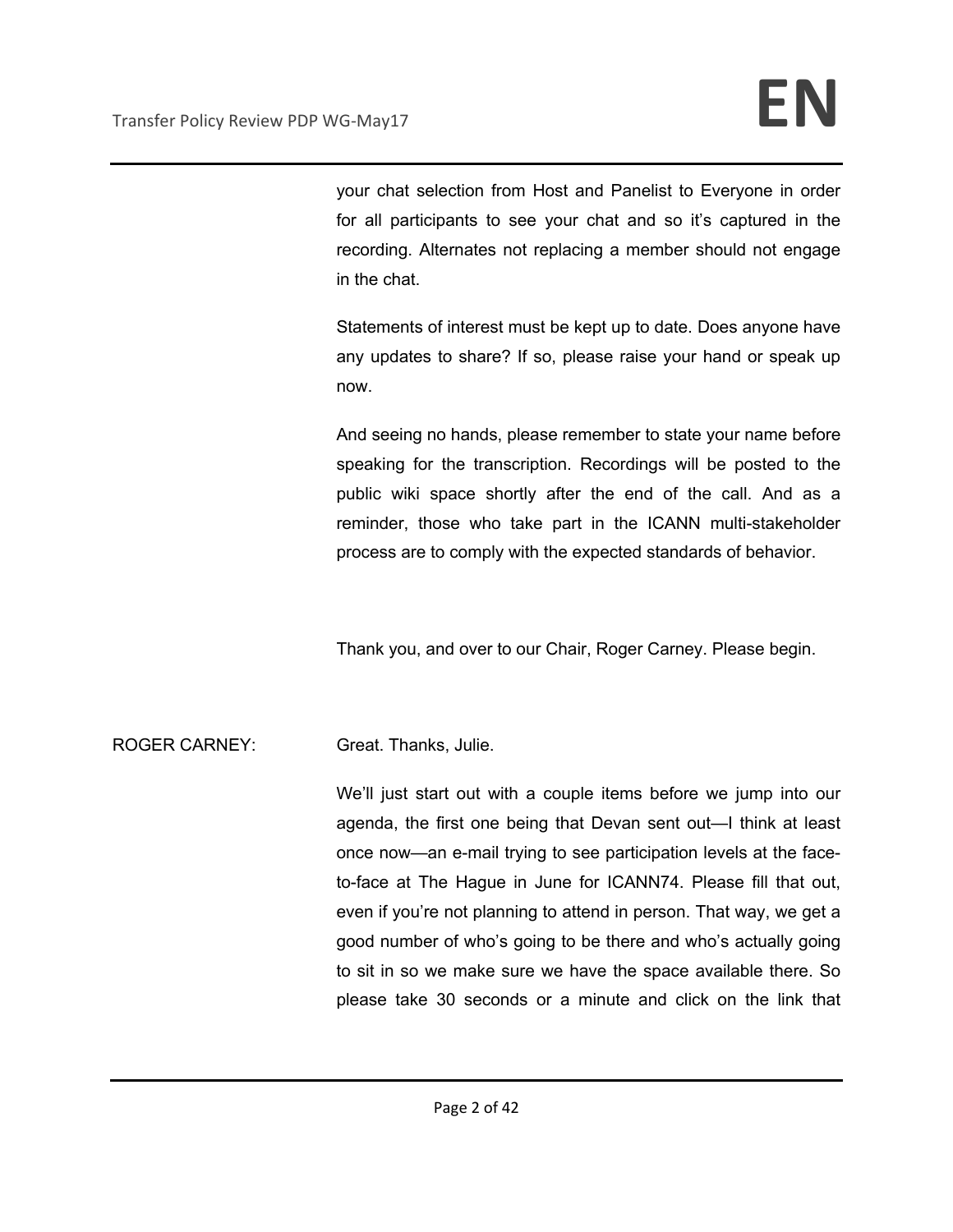your chat selection from Host and Panelist to Everyone in order for all participants to see your chat and so it's captured in the recording. Alternates not replacing a member should not engage in the chat.

Statements of interest must be kept up to date. Does anyone have any updates to share? If so, please raise your hand or speak up now.

And seeing no hands, please remember to state your name before speaking for the transcription. Recordings will be posted to the public wiki space shortly after the end of the call. And as a reminder, those who take part in the ICANN multi-stakeholder process are to comply with the expected standards of behavior.

Thank you, and over to our Chair, Roger Carney. Please begin.

## ROGER CARNEY: Great. Thanks, Julie.

We'll just start out with a couple items before we jump into our agenda, the first one being that Devan sent out—I think at least once now—an e-mail trying to see participation levels at the faceto-face at The Hague in June for ICANN74. Please fill that out, even if you're not planning to attend in person. That way, we get a good number of who's going to be there and who's actually going to sit in so we make sure we have the space available there. So please take 30 seconds or a minute and click on the link that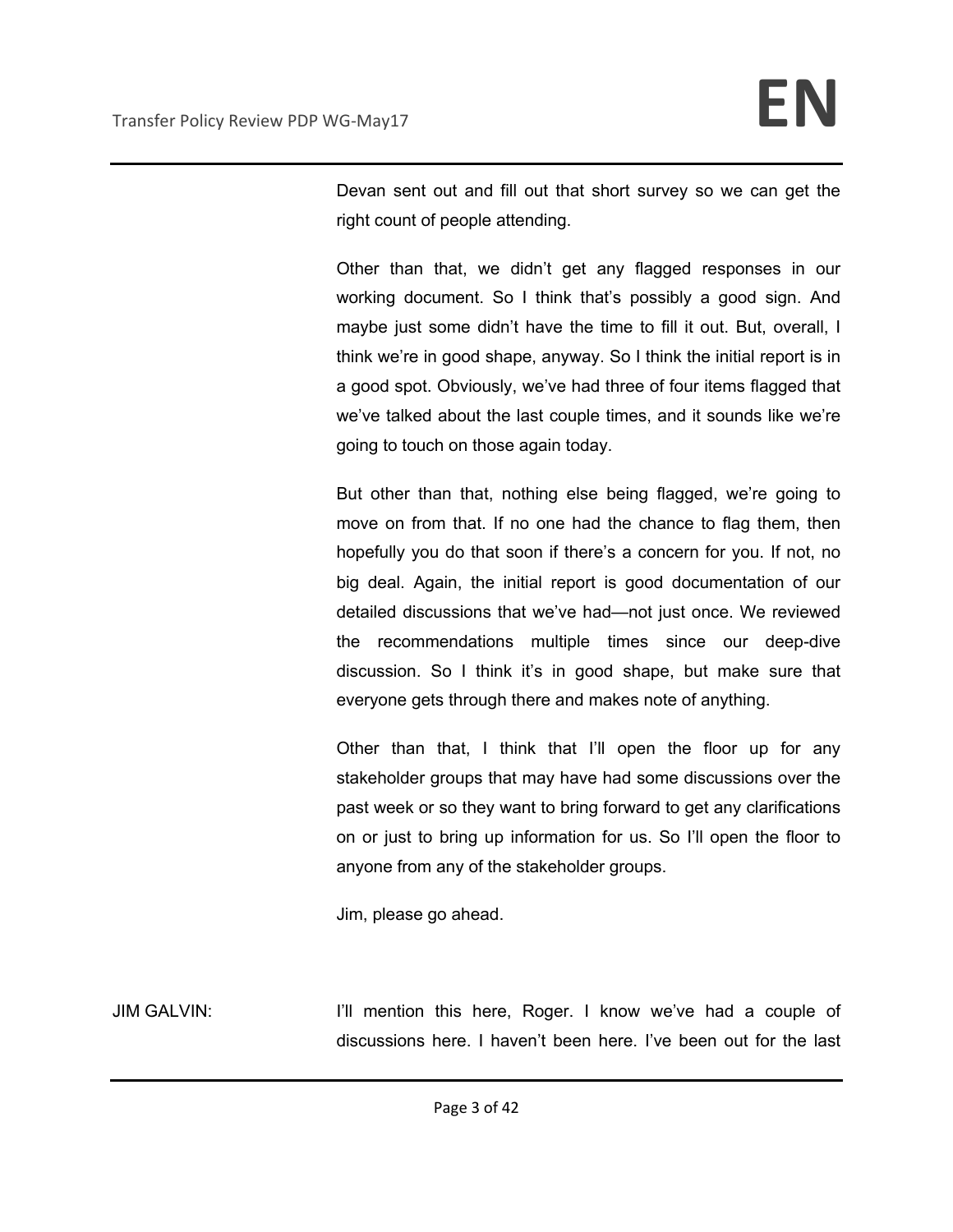Devan sent out and fill out that short survey so we can get the right count of people attending.

Other than that, we didn't get any flagged responses in our working document. So I think that's possibly a good sign. And maybe just some didn't have the time to fill it out. But, overall, I think we're in good shape, anyway. So I think the initial report is in a good spot. Obviously, we've had three of four items flagged that we've talked about the last couple times, and it sounds like we're going to touch on those again today.

But other than that, nothing else being flagged, we're going to move on from that. If no one had the chance to flag them, then hopefully you do that soon if there's a concern for you. If not, no big deal. Again, the initial report is good documentation of our detailed discussions that we've had—not just once. We reviewed the recommendations multiple times since our deep-dive discussion. So I think it's in good shape, but make sure that everyone gets through there and makes note of anything.

Other than that, I think that I'll open the floor up for any stakeholder groups that may have had some discussions over the past week or so they want to bring forward to get any clarifications on or just to bring up information for us. So I'll open the floor to anyone from any of the stakeholder groups.

Jim, please go ahead.

JIM GALVIN: I'll mention this here, Roger. I know we've had a couple of discussions here. I haven't been here. I've been out for the last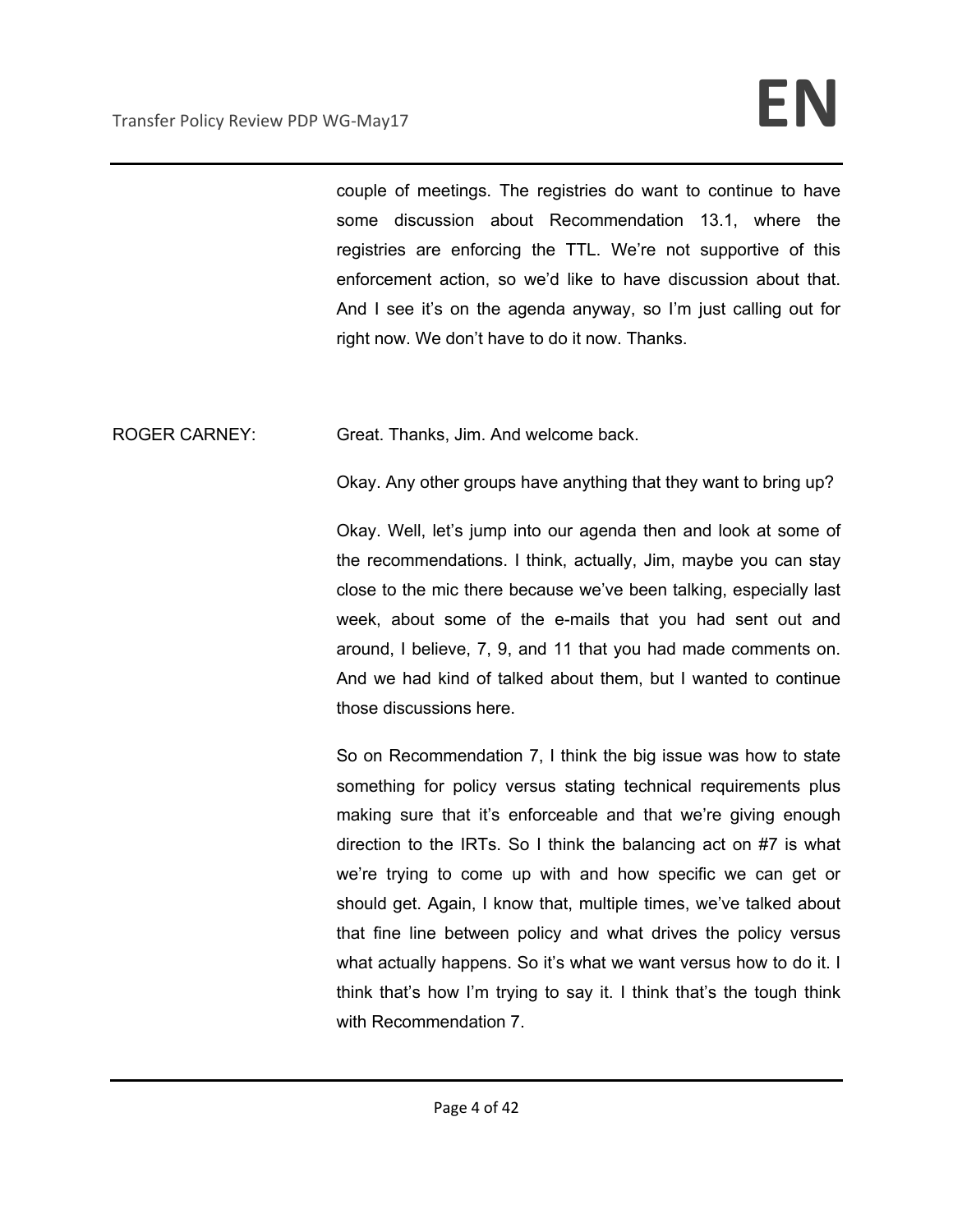couple of meetings. The registries do want to continue to have some discussion about Recommendation 13.1, where the registries are enforcing the TTL. We're not supportive of this enforcement action, so we'd like to have discussion about that. And I see it's on the agenda anyway, so I'm just calling out for right now. We don't have to do it now. Thanks.

ROGER CARNEY: Great. Thanks, Jim. And welcome back.

Okay. Any other groups have anything that they want to bring up?

Okay. Well, let's jump into our agenda then and look at some of the recommendations. I think, actually, Jim, maybe you can stay close to the mic there because we've been talking, especially last week, about some of the e-mails that you had sent out and around, I believe, 7, 9, and 11 that you had made comments on. And we had kind of talked about them, but I wanted to continue those discussions here.

So on Recommendation 7, I think the big issue was how to state something for policy versus stating technical requirements plus making sure that it's enforceable and that we're giving enough direction to the IRTs. So I think the balancing act on #7 is what we're trying to come up with and how specific we can get or should get. Again, I know that, multiple times, we've talked about that fine line between policy and what drives the policy versus what actually happens. So it's what we want versus how to do it. I think that's how I'm trying to say it. I think that's the tough think with Recommendation 7.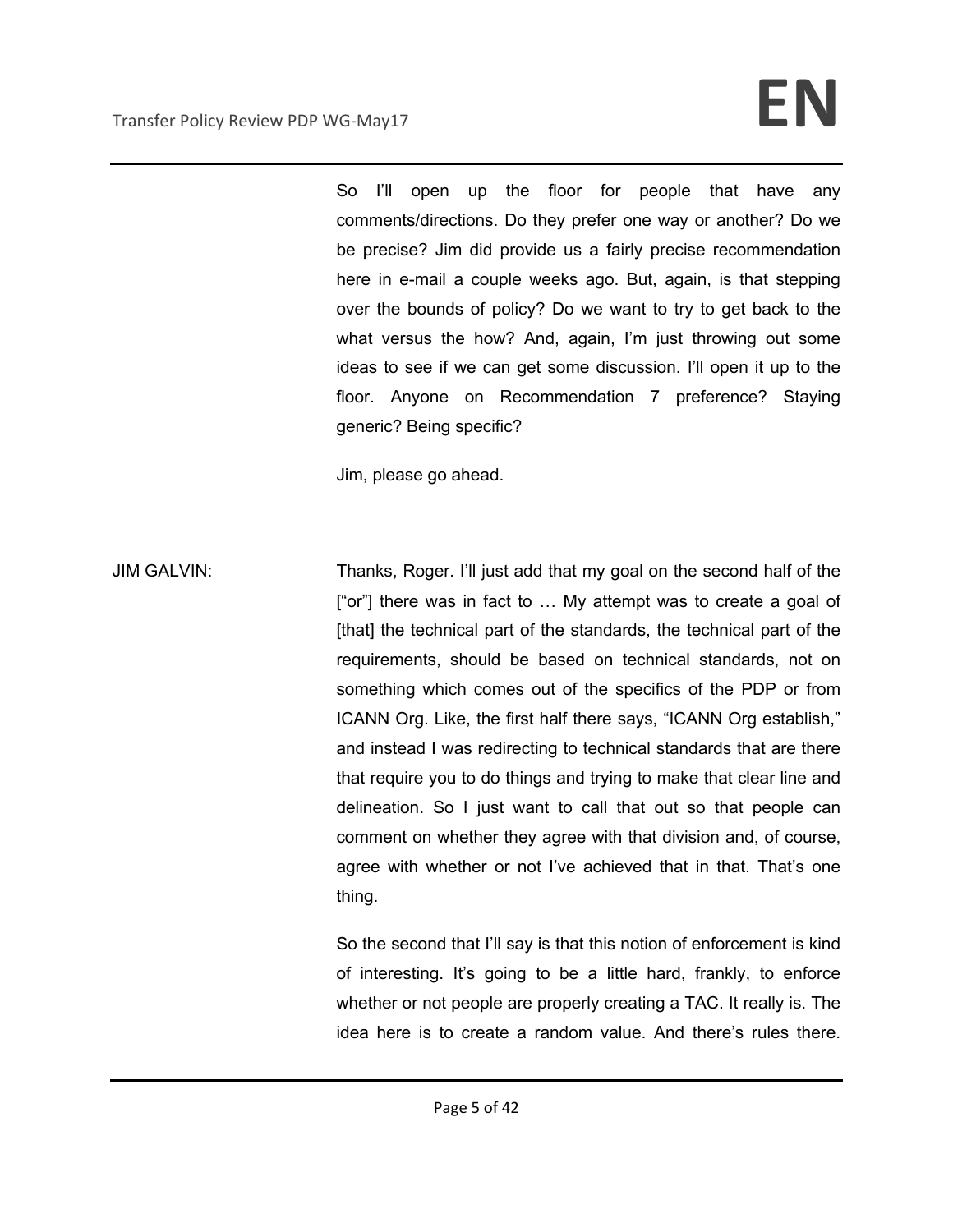So I'll open up the floor for people that have any comments/directions. Do they prefer one way or another? Do we be precise? Jim did provide us a fairly precise recommendation here in e-mail a couple weeks ago. But, again, is that stepping over the bounds of policy? Do we want to try to get back to the what versus the how? And, again, I'm just throwing out some ideas to see if we can get some discussion. I'll open it up to the floor. Anyone on Recommendation 7 preference? Staying generic? Being specific?

Jim, please go ahead.

JIM GALVIN: Thanks, Roger. I'll just add that my goal on the second half of the ["or"] there was in fact to … My attempt was to create a goal of [that] the technical part of the standards, the technical part of the requirements, should be based on technical standards, not on something which comes out of the specifics of the PDP or from ICANN Org. Like, the first half there says, "ICANN Org establish," and instead I was redirecting to technical standards that are there that require you to do things and trying to make that clear line and delineation. So I just want to call that out so that people can comment on whether they agree with that division and, of course, agree with whether or not I've achieved that in that. That's one thing.

> So the second that I'll say is that this notion of enforcement is kind of interesting. It's going to be a little hard, frankly, to enforce whether or not people are properly creating a TAC. It really is. The idea here is to create a random value. And there's rules there.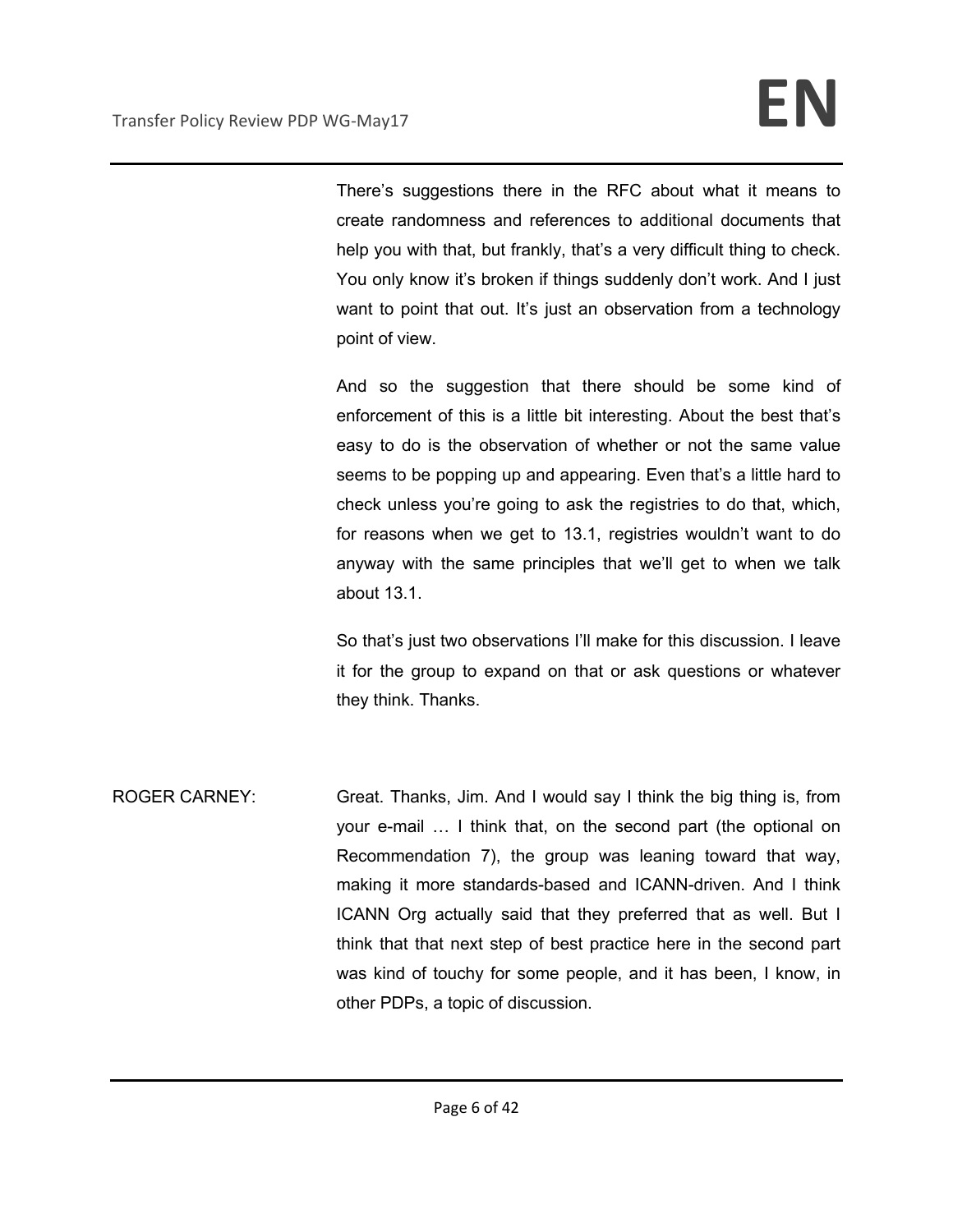There's suggestions there in the RFC about what it means to create randomness and references to additional documents that help you with that, but frankly, that's a very difficult thing to check. You only know it's broken if things suddenly don't work. And I just want to point that out. It's just an observation from a technology point of view.

And so the suggestion that there should be some kind of enforcement of this is a little bit interesting. About the best that's easy to do is the observation of whether or not the same value seems to be popping up and appearing. Even that's a little hard to check unless you're going to ask the registries to do that, which, for reasons when we get to 13.1, registries wouldn't want to do anyway with the same principles that we'll get to when we talk about 13.1.

So that's just two observations I'll make for this discussion. I leave it for the group to expand on that or ask questions or whatever they think. Thanks.

ROGER CARNEY: Great. Thanks, Jim. And I would say I think the big thing is, from your e-mail … I think that, on the second part (the optional on Recommendation 7), the group was leaning toward that way, making it more standards-based and ICANN-driven. And I think ICANN Org actually said that they preferred that as well. But I think that that next step of best practice here in the second part was kind of touchy for some people, and it has been, I know, in other PDPs, a topic of discussion.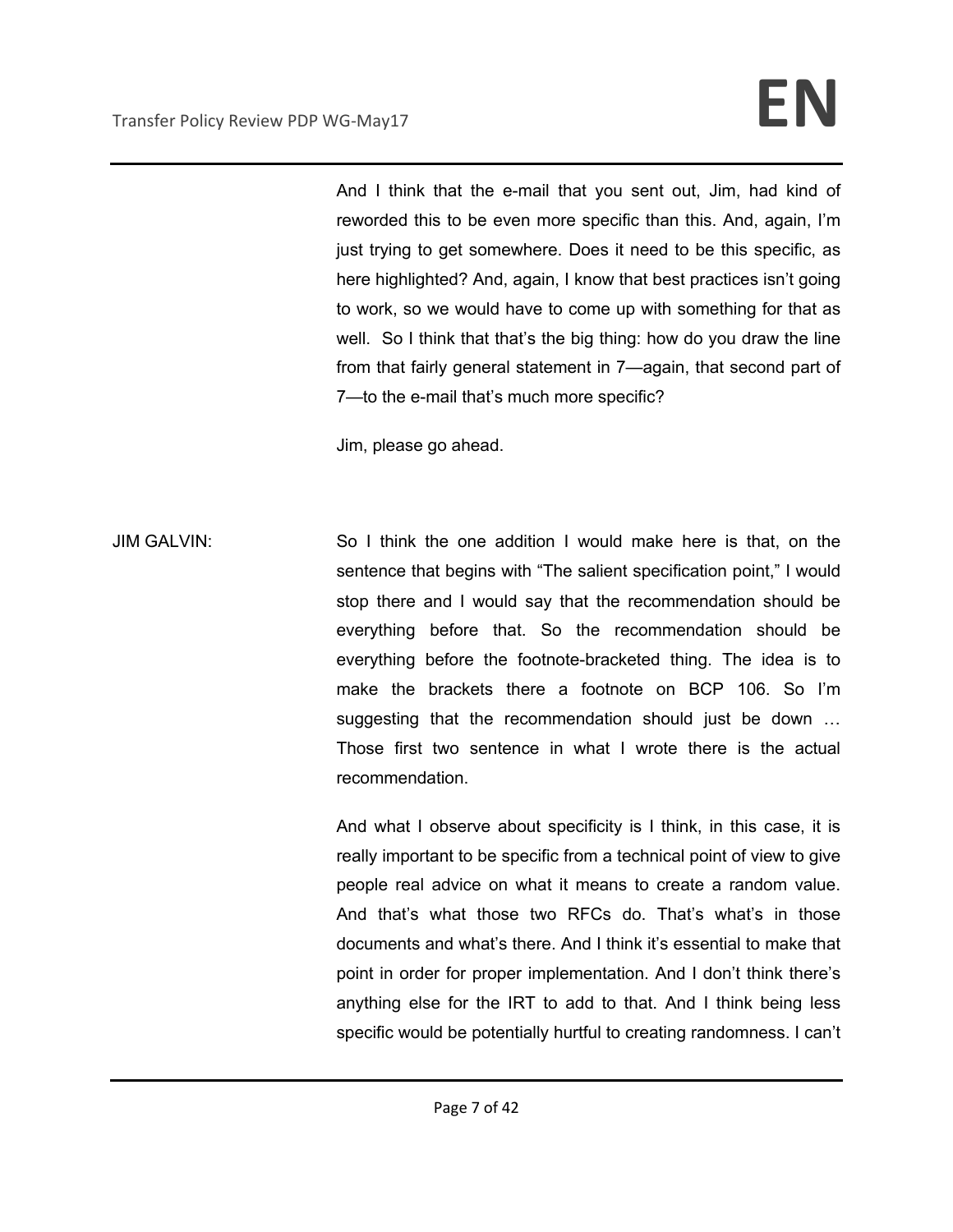And I think that the e-mail that you sent out, Jim, had kind of reworded this to be even more specific than this. And, again, I'm just trying to get somewhere. Does it need to be this specific, as here highlighted? And, again, I know that best practices isn't going to work, so we would have to come up with something for that as well. So I think that that's the big thing: how do you draw the line from that fairly general statement in 7—again, that second part of 7—to the e-mail that's much more specific?

Jim, please go ahead.

JIM GALVIN: So I think the one addition I would make here is that, on the sentence that begins with "The salient specification point," I would stop there and I would say that the recommendation should be everything before that. So the recommendation should be everything before the footnote-bracketed thing. The idea is to make the brackets there a footnote on BCP 106. So I'm suggesting that the recommendation should just be down … Those first two sentence in what I wrote there is the actual recommendation.

> And what I observe about specificity is I think, in this case, it is really important to be specific from a technical point of view to give people real advice on what it means to create a random value. And that's what those two RFCs do. That's what's in those documents and what's there. And I think it's essential to make that point in order for proper implementation. And I don't think there's anything else for the IRT to add to that. And I think being less specific would be potentially hurtful to creating randomness. I can't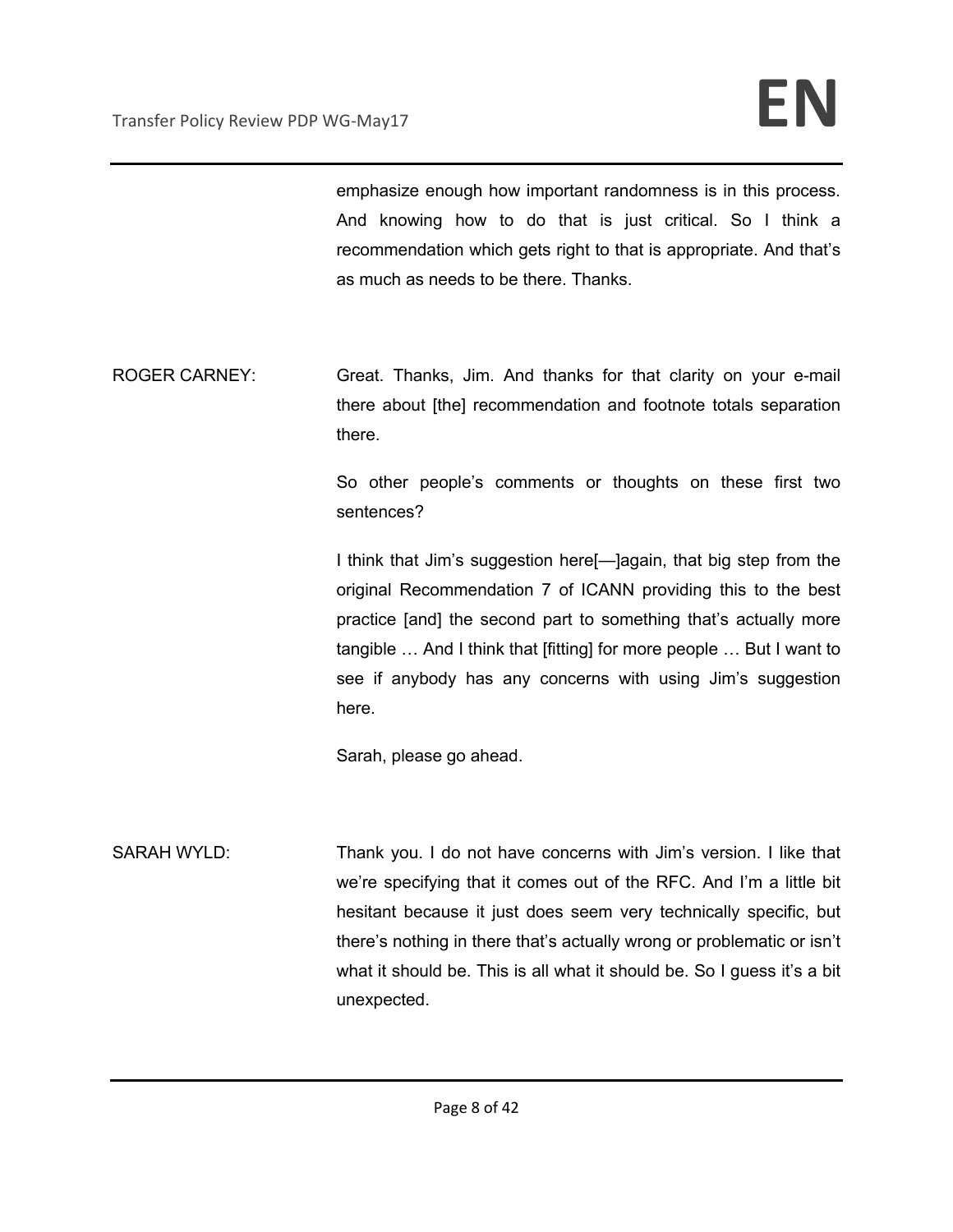emphasize enough how important randomness is in this process. And knowing how to do that is just critical. So I think a recommendation which gets right to that is appropriate. And that's as much as needs to be there. Thanks.

ROGER CARNEY: Great. Thanks, Jim. And thanks for that clarity on your e-mail there about [the] recommendation and footnote totals separation there.

> So other people's comments or thoughts on these first two sentences?

> I think that Jim's suggestion here[—]again, that big step from the original Recommendation 7 of ICANN providing this to the best practice [and] the second part to something that's actually more tangible … And I think that [fitting] for more people … But I want to see if anybody has any concerns with using Jim's suggestion here.

Sarah, please go ahead.

SARAH WYLD: Thank you. I do not have concerns with Jim's version. I like that we're specifying that it comes out of the RFC. And I'm a little bit hesitant because it just does seem very technically specific, but there's nothing in there that's actually wrong or problematic or isn't what it should be. This is all what it should be. So I guess it's a bit unexpected.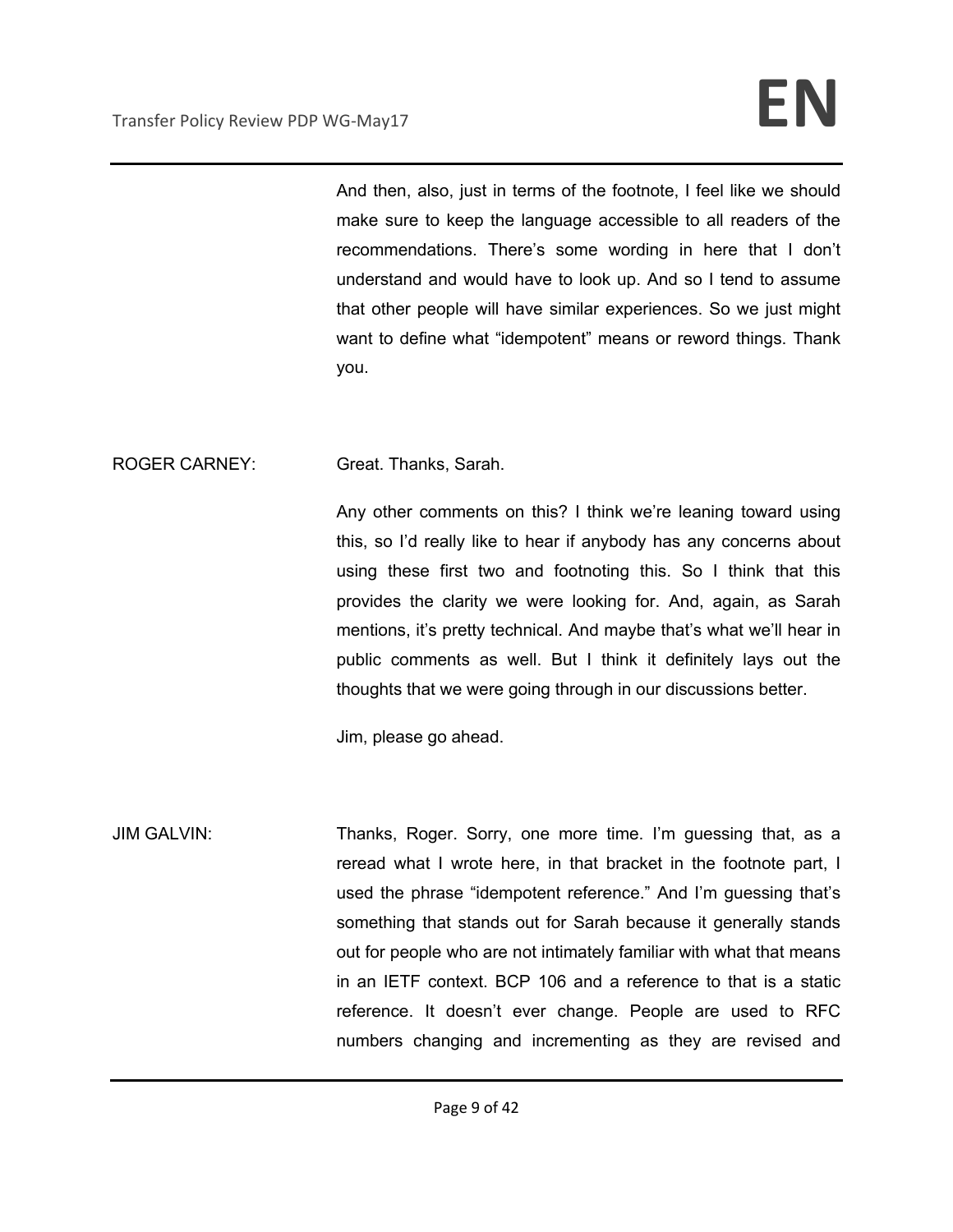And then, also, just in terms of the footnote, I feel like we should make sure to keep the language accessible to all readers of the recommendations. There's some wording in here that I don't understand and would have to look up. And so I tend to assume that other people will have similar experiences. So we just might want to define what "idempotent" means or reword things. Thank you.

## ROGER CARNEY: Great. Thanks, Sarah.

Any other comments on this? I think we're leaning toward using this, so I'd really like to hear if anybody has any concerns about using these first two and footnoting this. So I think that this provides the clarity we were looking for. And, again, as Sarah mentions, it's pretty technical. And maybe that's what we'll hear in public comments as well. But I think it definitely lays out the thoughts that we were going through in our discussions better.

Jim, please go ahead.

JIM GALVIN: Thanks, Roger. Sorry, one more time. I'm guessing that, as a reread what I wrote here, in that bracket in the footnote part, I used the phrase "idempotent reference." And I'm guessing that's something that stands out for Sarah because it generally stands out for people who are not intimately familiar with what that means in an IETF context. BCP 106 and a reference to that is a static reference. It doesn't ever change. People are used to RFC numbers changing and incrementing as they are revised and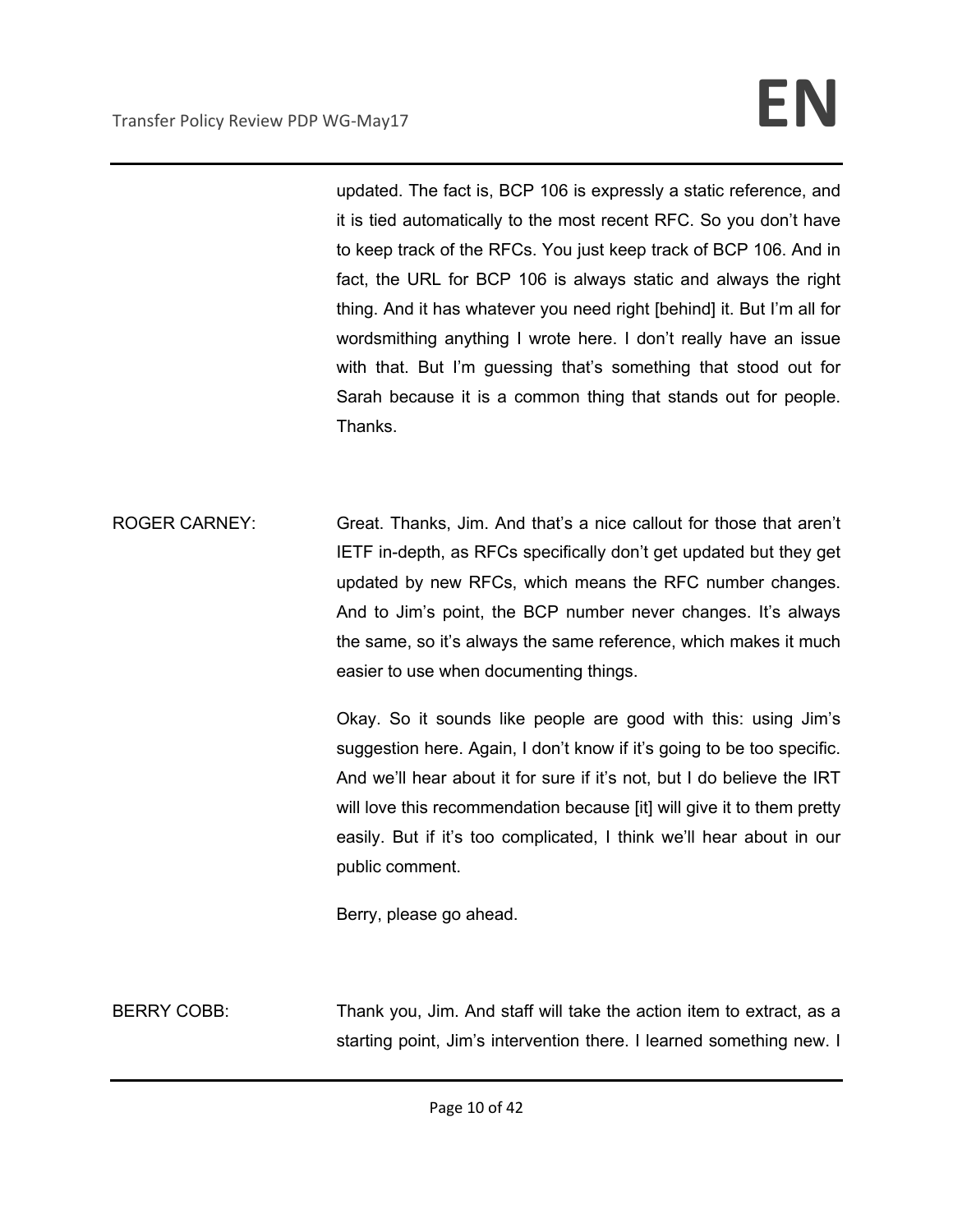updated. The fact is, BCP 106 is expressly a static reference, and it is tied automatically to the most recent RFC. So you don't have to keep track of the RFCs. You just keep track of BCP 106. And in fact, the URL for BCP 106 is always static and always the right thing. And it has whatever you need right [behind] it. But I'm all for wordsmithing anything I wrote here. I don't really have an issue with that. But I'm guessing that's something that stood out for Sarah because it is a common thing that stands out for people. Thanks.

ROGER CARNEY: Great. Thanks, Jim. And that's a nice callout for those that aren't IETF in-depth, as RFCs specifically don't get updated but they get updated by new RFCs, which means the RFC number changes. And to Jim's point, the BCP number never changes. It's always the same, so it's always the same reference, which makes it much easier to use when documenting things.

> Okay. So it sounds like people are good with this: using Jim's suggestion here. Again, I don't know if it's going to be too specific. And we'll hear about it for sure if it's not, but I do believe the IRT will love this recommendation because [it] will give it to them pretty easily. But if it's too complicated, I think we'll hear about in our public comment.

Berry, please go ahead.

BERRY COBB: Thank you, Jim. And staff will take the action item to extract, as a starting point, Jim's intervention there. I learned something new. I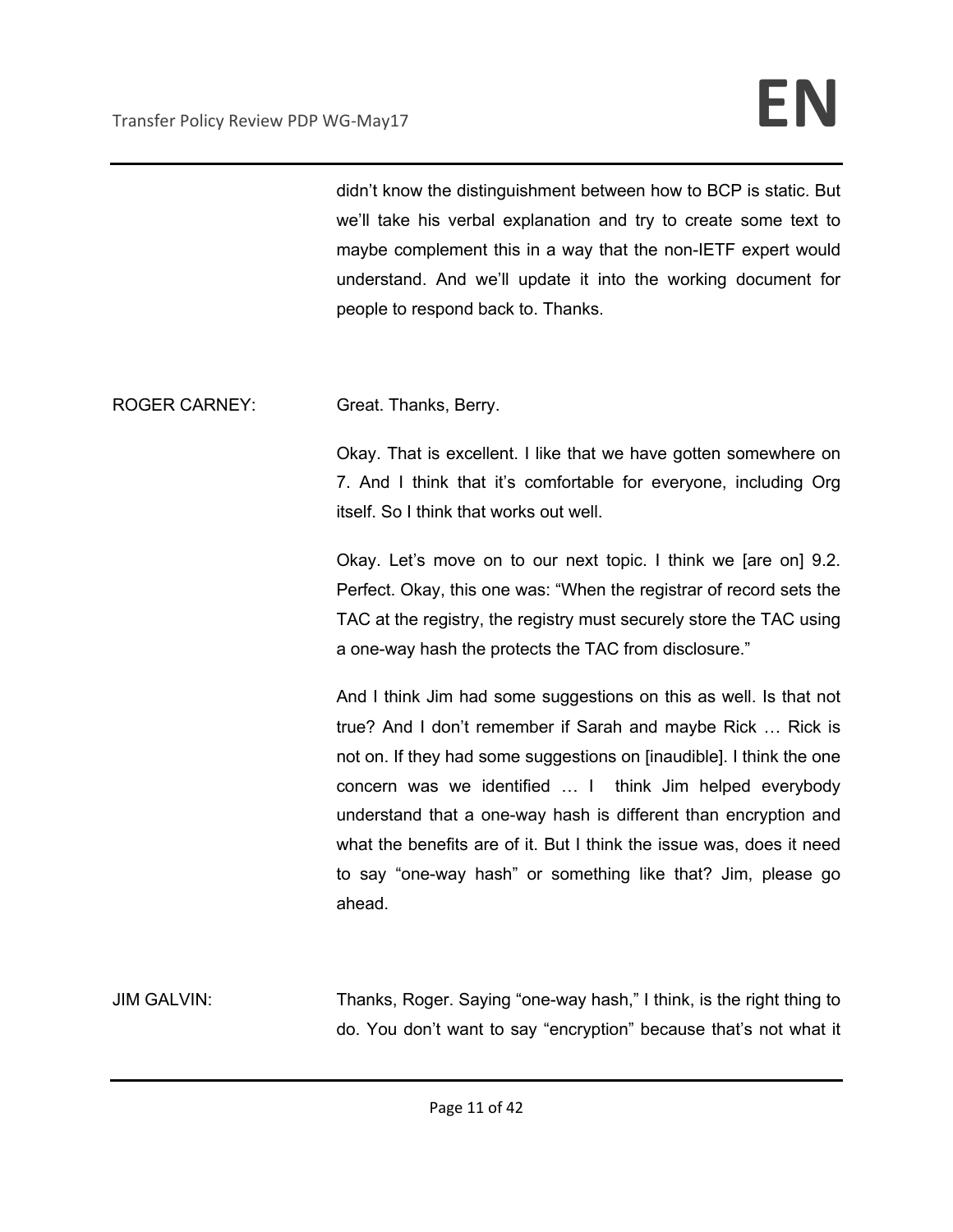didn't know the distinguishment between how to BCP is static. But we'll take his verbal explanation and try to create some text to maybe complement this in a way that the non-IETF expert would understand. And we'll update it into the working document for people to respond back to. Thanks.

ROGER CARNEY: Great. Thanks, Berry.

Okay. That is excellent. I like that we have gotten somewhere on 7. And I think that it's comfortable for everyone, including Org itself. So I think that works out well.

Okay. Let's move on to our next topic. I think we [are on] 9.2. Perfect. Okay, this one was: "When the registrar of record sets the TAC at the registry, the registry must securely store the TAC using a one-way hash the protects the TAC from disclosure."

And I think Jim had some suggestions on this as well. Is that not true? And I don't remember if Sarah and maybe Rick … Rick is not on. If they had some suggestions on [inaudible]. I think the one concern was we identified … I think Jim helped everybody understand that a one-way hash is different than encryption and what the benefits are of it. But I think the issue was, does it need to say "one-way hash" or something like that? Jim, please go ahead.

JIM GALVIN: Thanks, Roger. Saying "one-way hash," I think, is the right thing to do. You don't want to say "encryption" because that's not what it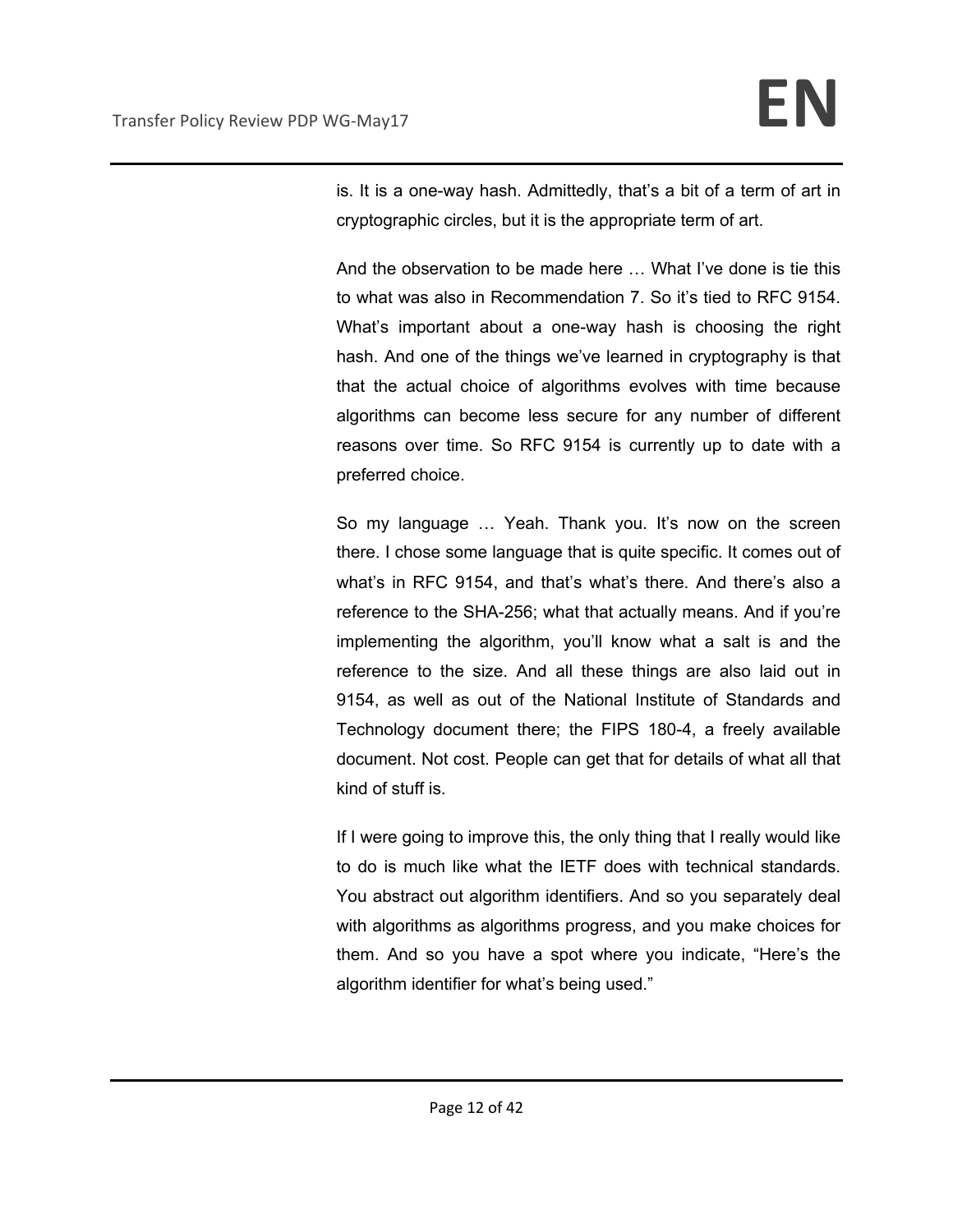is. It is a one-way hash. Admittedly, that's a bit of a term of art in cryptographic circles, but it is the appropriate term of art.

And the observation to be made here … What I've done is tie this to what was also in Recommendation 7. So it's tied to RFC 9154. What's important about a one-way hash is choosing the right hash. And one of the things we've learned in cryptography is that that the actual choice of algorithms evolves with time because algorithms can become less secure for any number of different reasons over time. So RFC 9154 is currently up to date with a preferred choice.

So my language … Yeah. Thank you. It's now on the screen there. I chose some language that is quite specific. It comes out of what's in RFC 9154, and that's what's there. And there's also a reference to the SHA-256; what that actually means. And if you're implementing the algorithm, you'll know what a salt is and the reference to the size. And all these things are also laid out in 9154, as well as out of the National Institute of Standards and Technology document there; the FIPS 180-4, a freely available document. Not cost. People can get that for details of what all that kind of stuff is.

If I were going to improve this, the only thing that I really would like to do is much like what the IETF does with technical standards. You abstract out algorithm identifiers. And so you separately deal with algorithms as algorithms progress, and you make choices for them. And so you have a spot where you indicate, "Here's the algorithm identifier for what's being used."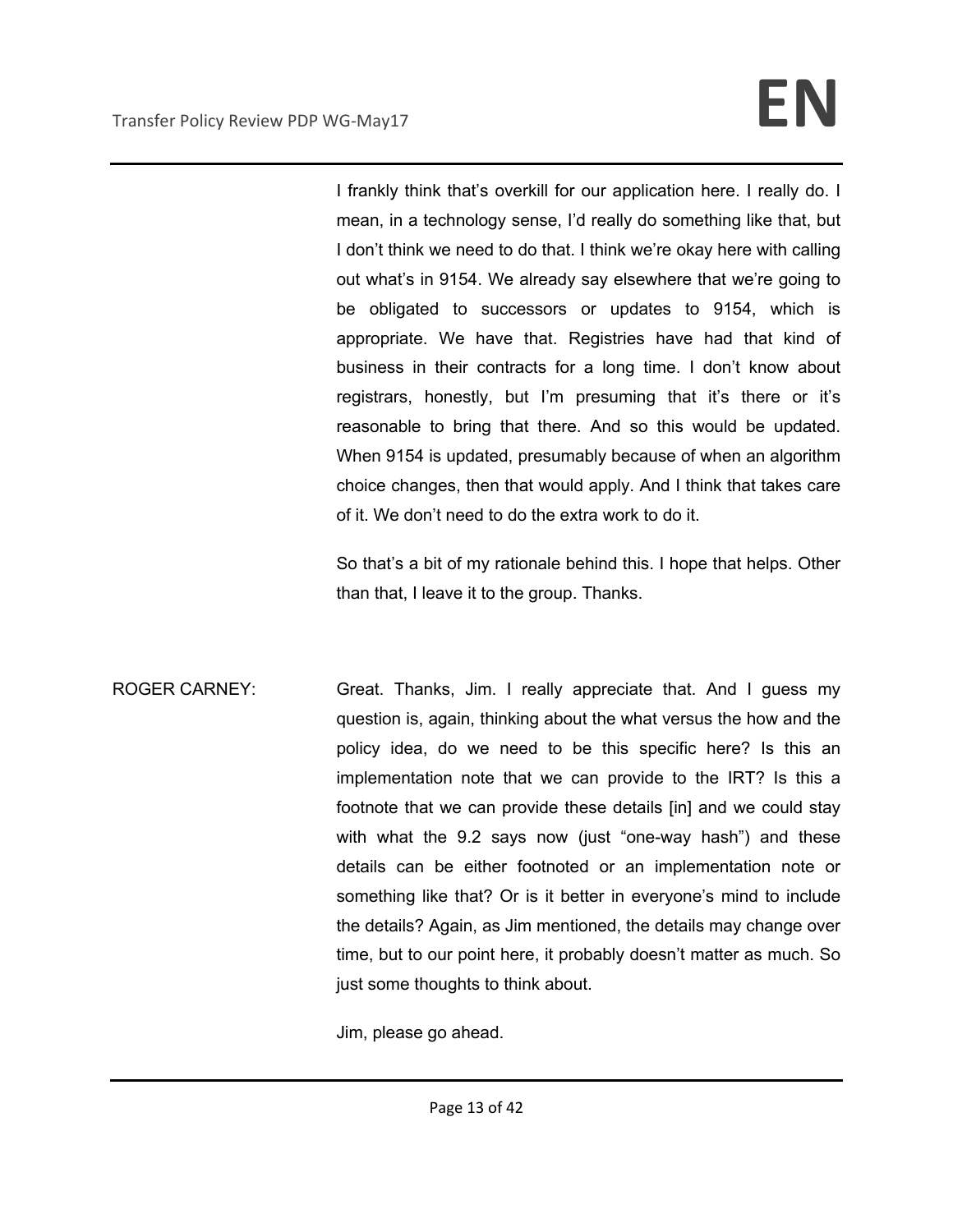I frankly think that's overkill for our application here. I really do. I mean, in a technology sense, I'd really do something like that, but I don't think we need to do that. I think we're okay here with calling out what's in 9154. We already say elsewhere that we're going to be obligated to successors or updates to 9154, which is appropriate. We have that. Registries have had that kind of business in their contracts for a long time. I don't know about registrars, honestly, but I'm presuming that it's there or it's reasonable to bring that there. And so this would be updated. When 9154 is updated, presumably because of when an algorithm choice changes, then that would apply. And I think that takes care of it. We don't need to do the extra work to do it.

So that's a bit of my rationale behind this. I hope that helps. Other than that, I leave it to the group. Thanks.

ROGER CARNEY: Great. Thanks, Jim. I really appreciate that. And I guess my question is, again, thinking about the what versus the how and the policy idea, do we need to be this specific here? Is this an implementation note that we can provide to the IRT? Is this a footnote that we can provide these details [in] and we could stay with what the 9.2 says now (just "one-way hash") and these details can be either footnoted or an implementation note or something like that? Or is it better in everyone's mind to include the details? Again, as Jim mentioned, the details may change over time, but to our point here, it probably doesn't matter as much. So just some thoughts to think about.

Jim, please go ahead.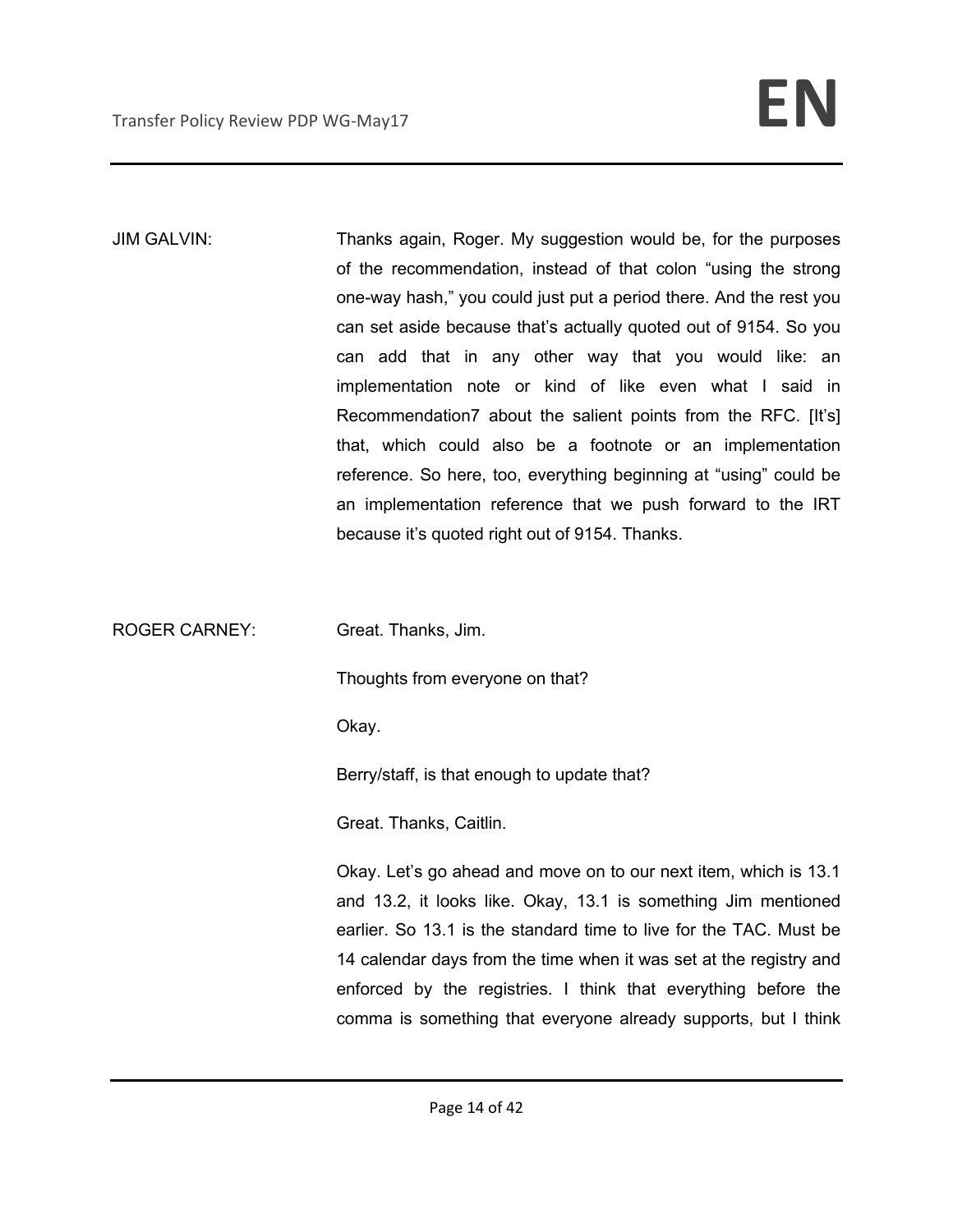JIM GALVIN: Thanks again, Roger. My suggestion would be, for the purposes of the recommendation, instead of that colon "using the strong one-way hash," you could just put a period there. And the rest you can set aside because that's actually quoted out of 9154. So you can add that in any other way that you would like: an implementation note or kind of like even what I said in Recommendation7 about the salient points from the RFC. [It's] that, which could also be a footnote or an implementation reference. So here, too, everything beginning at "using" could be an implementation reference that we push forward to the IRT because it's quoted right out of 9154. Thanks.

ROGER CARNEY: Great. Thanks, Jim.

Thoughts from everyone on that?

Okay.

Berry/staff, is that enough to update that?

Great. Thanks, Caitlin.

Okay. Let's go ahead and move on to our next item, which is 13.1 and 13.2, it looks like. Okay, 13.1 is something Jim mentioned earlier. So 13.1 is the standard time to live for the TAC. Must be 14 calendar days from the time when it was set at the registry and enforced by the registries. I think that everything before the comma is something that everyone already supports, but I think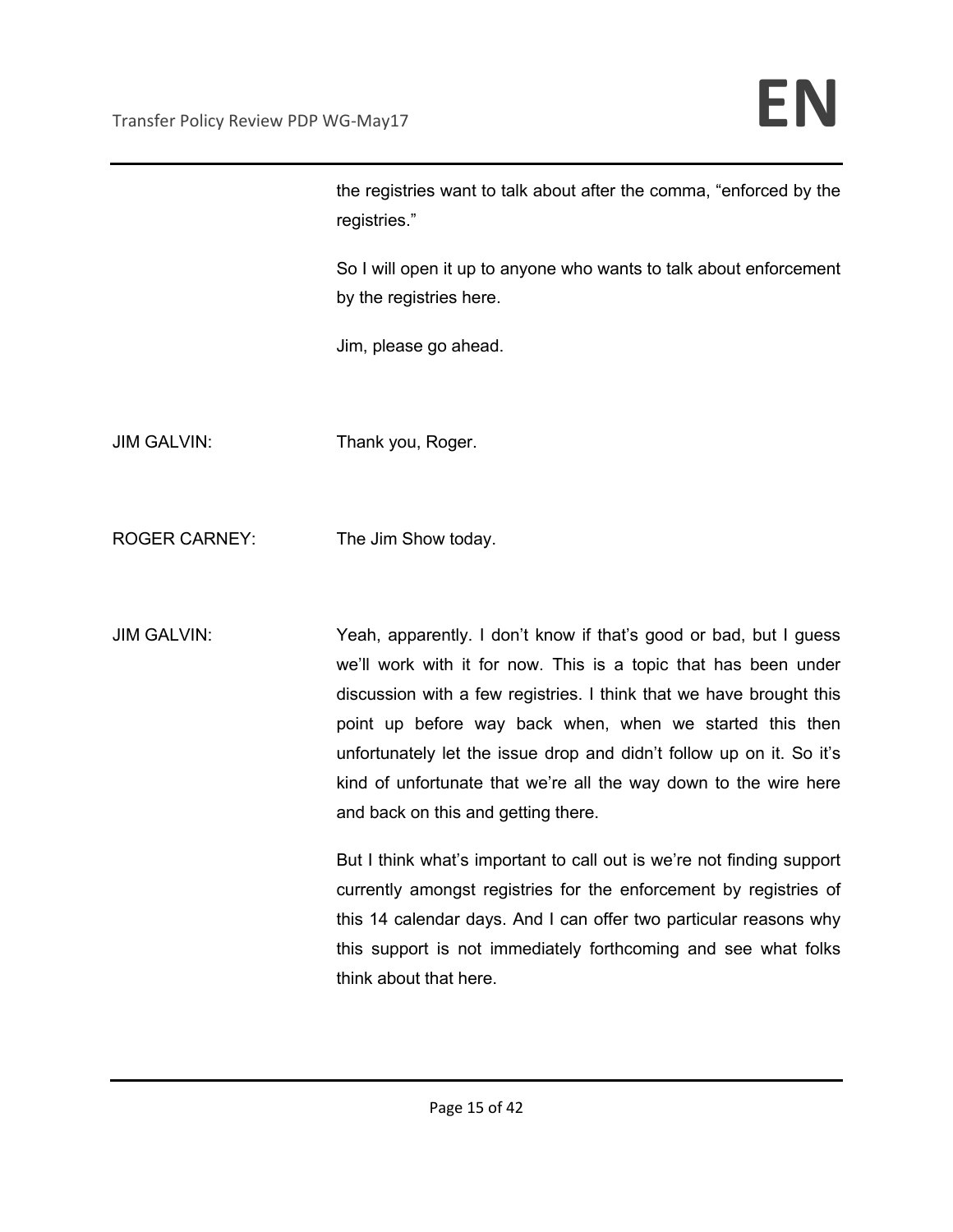the registries want to talk about after the comma, "enforced by the registries."

So I will open it up to anyone who wants to talk about enforcement by the registries here.

Jim, please go ahead.

JIM GALVIN: Thank you, Roger.

ROGER CARNEY: The Jim Show today.

JIM GALVIN: Yeah, apparently. I don't know if that's good or bad, but I guess we'll work with it for now. This is a topic that has been under discussion with a few registries. I think that we have brought this point up before way back when, when we started this then unfortunately let the issue drop and didn't follow up on it. So it's kind of unfortunate that we're all the way down to the wire here and back on this and getting there.

> But I think what's important to call out is we're not finding support currently amongst registries for the enforcement by registries of this 14 calendar days. And I can offer two particular reasons why this support is not immediately forthcoming and see what folks think about that here.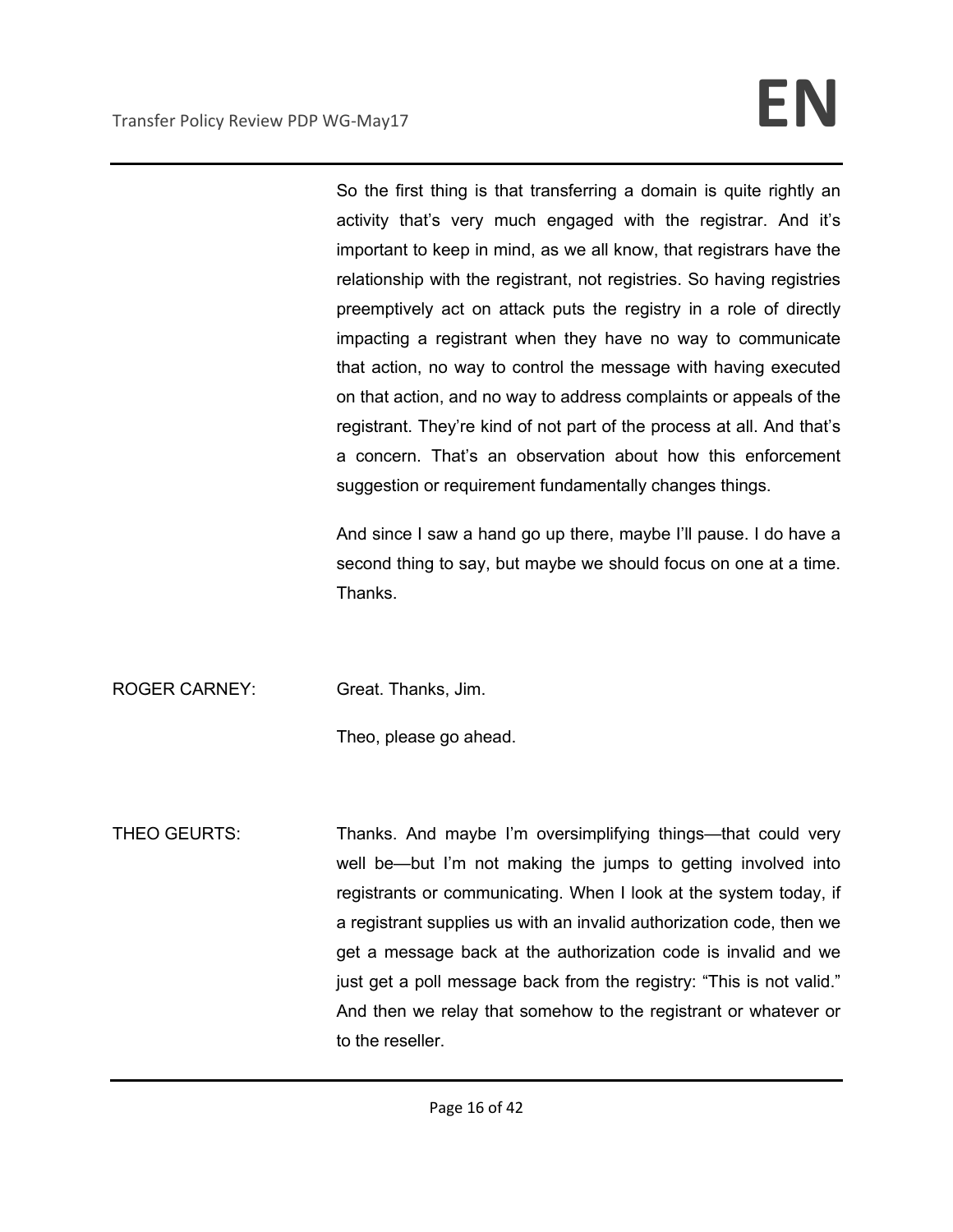So the first thing is that transferring a domain is quite rightly an activity that's very much engaged with the registrar. And it's important to keep in mind, as we all know, that registrars have the relationship with the registrant, not registries. So having registries preemptively act on attack puts the registry in a role of directly impacting a registrant when they have no way to communicate that action, no way to control the message with having executed on that action, and no way to address complaints or appeals of the registrant. They're kind of not part of the process at all. And that's a concern. That's an observation about how this enforcement suggestion or requirement fundamentally changes things.

And since I saw a hand go up there, maybe I'll pause. I do have a second thing to say, but maybe we should focus on one at a time. Thanks.

ROGER CARNEY: Great. Thanks, Jim.

Theo, please go ahead.

THEO GEURTS: Thanks. And maybe I'm oversimplifying things—that could very well be—but I'm not making the jumps to getting involved into registrants or communicating. When I look at the system today, if a registrant supplies us with an invalid authorization code, then we get a message back at the authorization code is invalid and we just get a poll message back from the registry: "This is not valid." And then we relay that somehow to the registrant or whatever or to the reseller.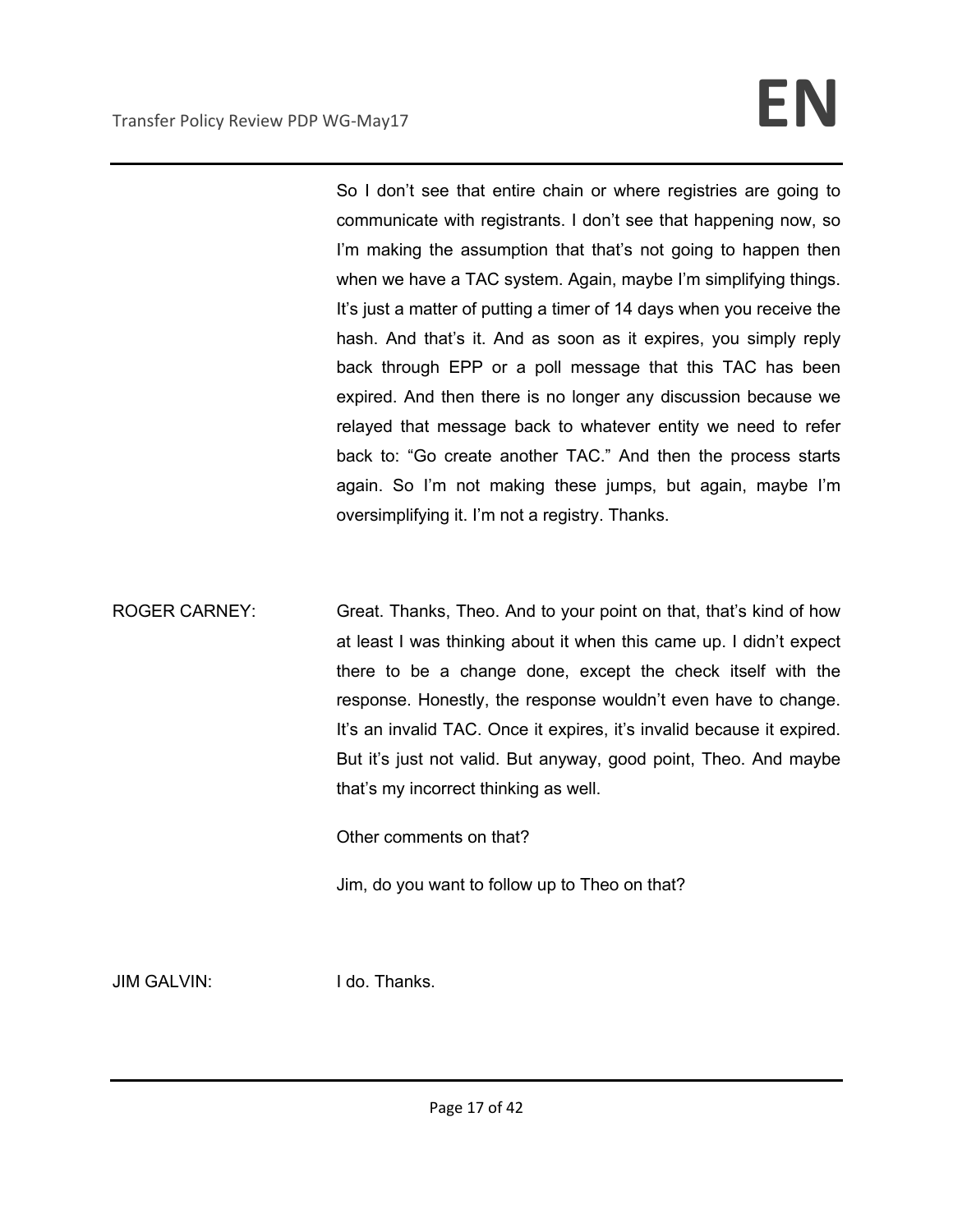So I don't see that entire chain or where registries are going to communicate with registrants. I don't see that happening now, so I'm making the assumption that that's not going to happen then when we have a TAC system. Again, maybe I'm simplifying things. It's just a matter of putting a timer of 14 days when you receive the hash. And that's it. And as soon as it expires, you simply reply back through EPP or a poll message that this TAC has been expired. And then there is no longer any discussion because we relayed that message back to whatever entity we need to refer back to: "Go create another TAC." And then the process starts again. So I'm not making these jumps, but again, maybe I'm oversimplifying it. I'm not a registry. Thanks.

ROGER CARNEY: Great. Thanks, Theo. And to your point on that, that's kind of how at least I was thinking about it when this came up. I didn't expect there to be a change done, except the check itself with the response. Honestly, the response wouldn't even have to change. It's an invalid TAC. Once it expires, it's invalid because it expired. But it's just not valid. But anyway, good point, Theo. And maybe that's my incorrect thinking as well.

Other comments on that?

Jim, do you want to follow up to Theo on that?

JIM GALVIN: I do. Thanks.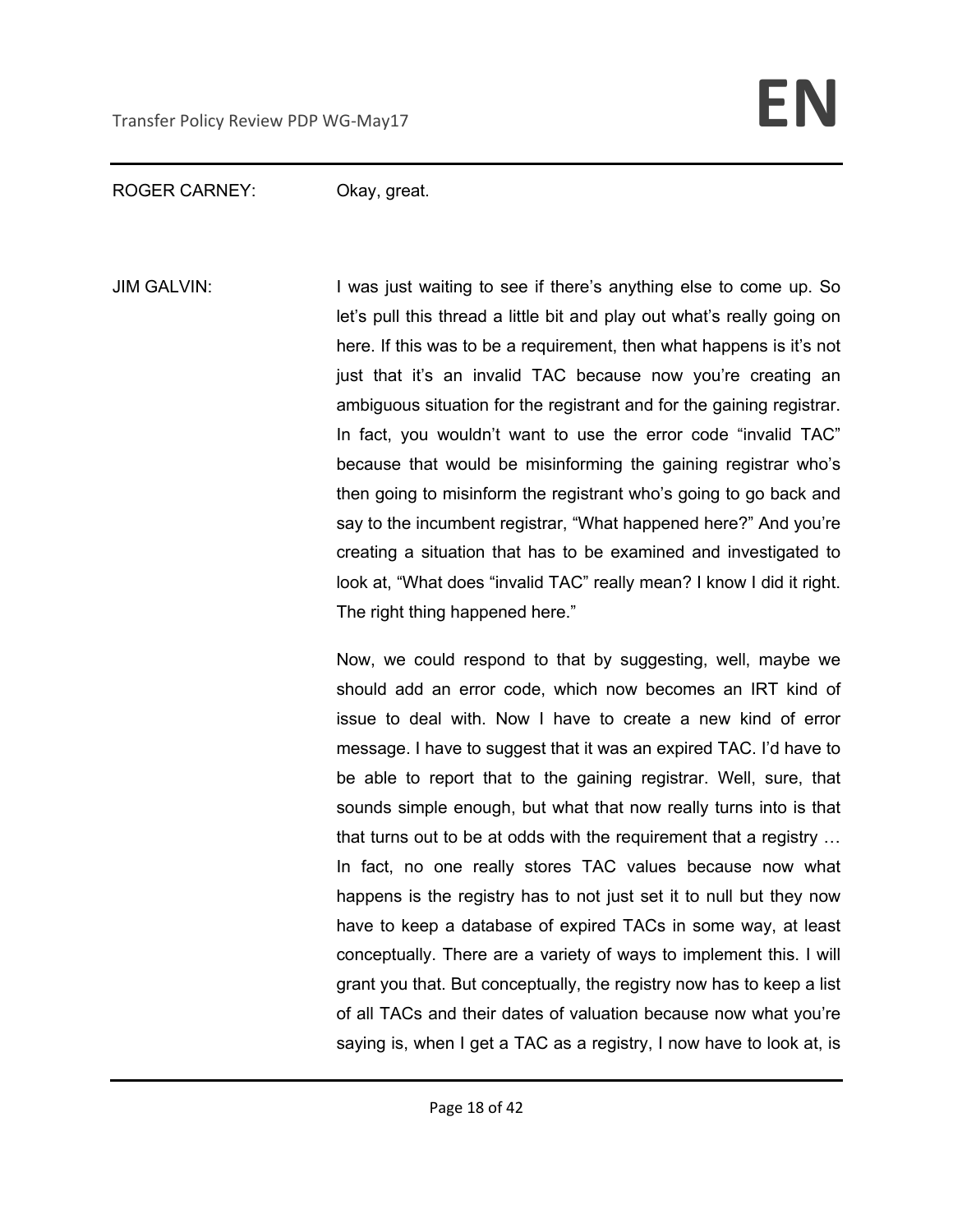### ROGER CARNEY: Okay, great.

JIM GALVIN: I was just waiting to see if there's anything else to come up. So let's pull this thread a little bit and play out what's really going on here. If this was to be a requirement, then what happens is it's not just that it's an invalid TAC because now you're creating an ambiguous situation for the registrant and for the gaining registrar. In fact, you wouldn't want to use the error code "invalid TAC" because that would be misinforming the gaining registrar who's then going to misinform the registrant who's going to go back and say to the incumbent registrar, "What happened here?" And you're creating a situation that has to be examined and investigated to look at, "What does "invalid TAC" really mean? I know I did it right. The right thing happened here."

> Now, we could respond to that by suggesting, well, maybe we should add an error code, which now becomes an IRT kind of issue to deal with. Now I have to create a new kind of error message. I have to suggest that it was an expired TAC. I'd have to be able to report that to the gaining registrar. Well, sure, that sounds simple enough, but what that now really turns into is that that turns out to be at odds with the requirement that a registry … In fact, no one really stores TAC values because now what happens is the registry has to not just set it to null but they now have to keep a database of expired TACs in some way, at least conceptually. There are a variety of ways to implement this. I will grant you that. But conceptually, the registry now has to keep a list of all TACs and their dates of valuation because now what you're saying is, when I get a TAC as a registry, I now have to look at, is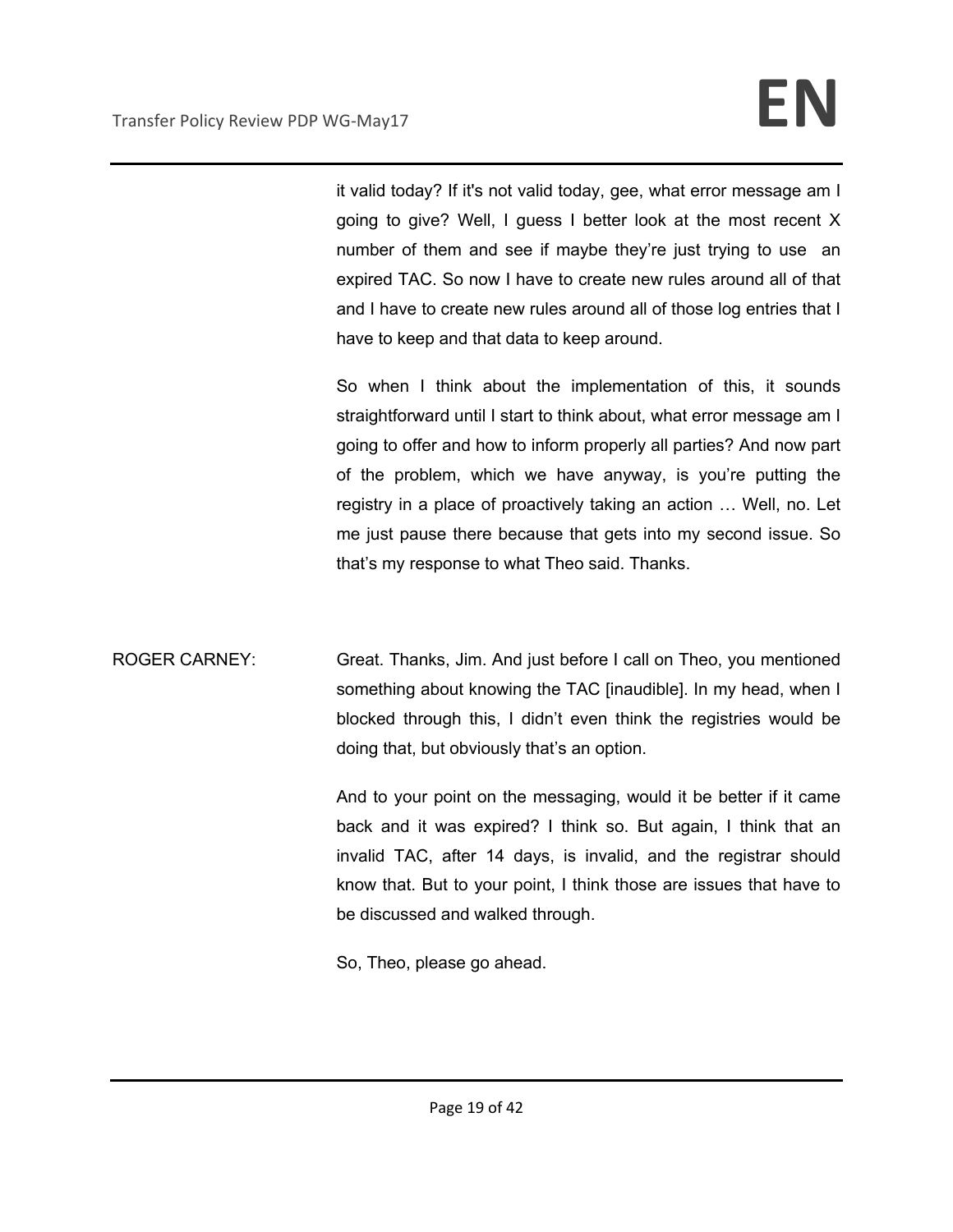it valid today? If it's not valid today, gee, what error message am I going to give? Well, I guess I better look at the most recent X number of them and see if maybe they're just trying to use an expired TAC. So now I have to create new rules around all of that and I have to create new rules around all of those log entries that I have to keep and that data to keep around.

So when I think about the implementation of this, it sounds straightforward until I start to think about, what error message am I going to offer and how to inform properly all parties? And now part of the problem, which we have anyway, is you're putting the registry in a place of proactively taking an action … Well, no. Let me just pause there because that gets into my second issue. So that's my response to what Theo said. Thanks.

ROGER CARNEY: Great. Thanks, Jim. And just before I call on Theo, you mentioned something about knowing the TAC [inaudible]. In my head, when I blocked through this, I didn't even think the registries would be doing that, but obviously that's an option.

> And to your point on the messaging, would it be better if it came back and it was expired? I think so. But again, I think that an invalid TAC, after 14 days, is invalid, and the registrar should know that. But to your point, I think those are issues that have to be discussed and walked through.

So, Theo, please go ahead.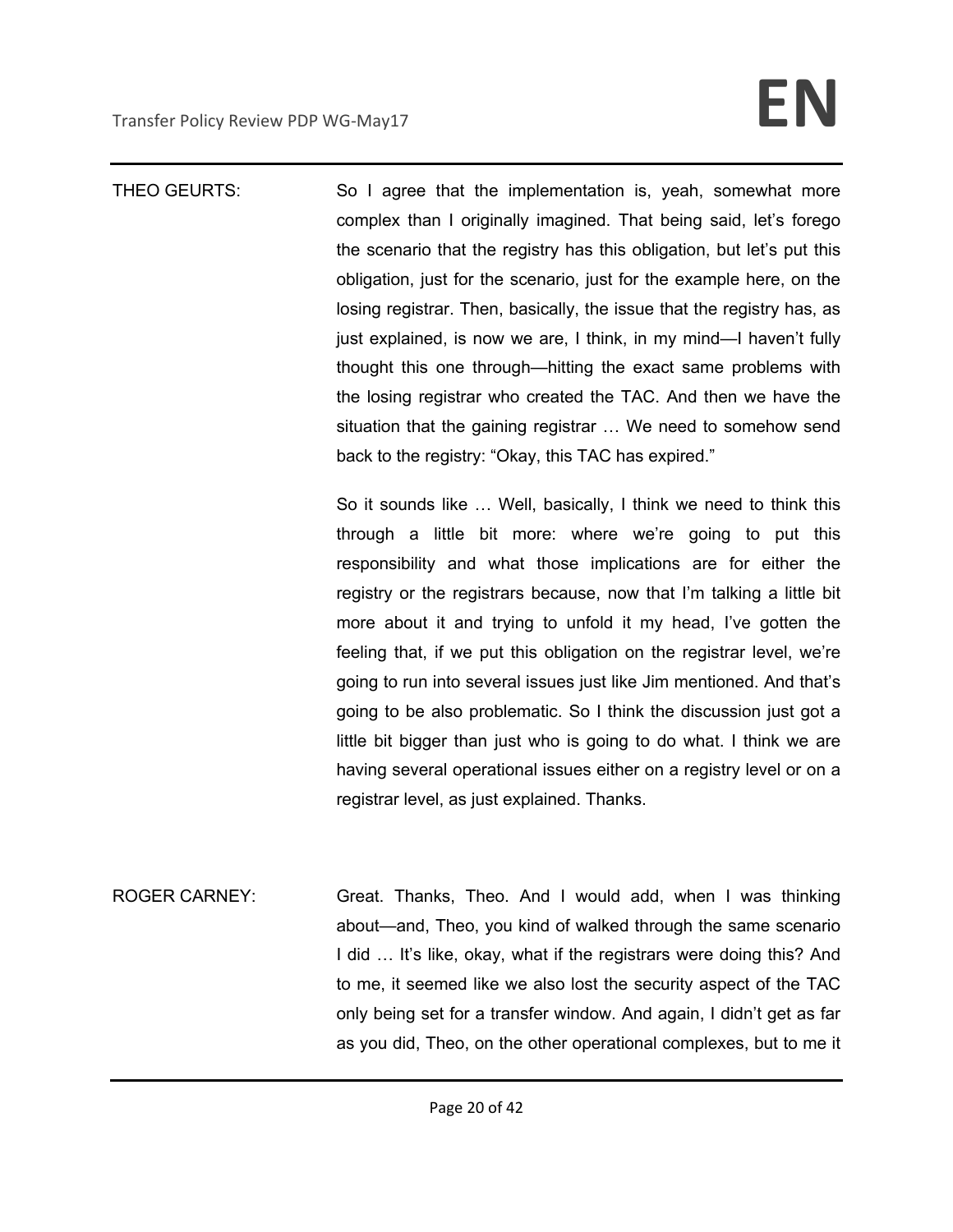THEO GEURTS: So I agree that the implementation is, yeah, somewhat more complex than I originally imagined. That being said, let's forego the scenario that the registry has this obligation, but let's put this obligation, just for the scenario, just for the example here, on the losing registrar. Then, basically, the issue that the registry has, as just explained, is now we are, I think, in my mind—I haven't fully thought this one through—hitting the exact same problems with the losing registrar who created the TAC. And then we have the situation that the gaining registrar … We need to somehow send back to the registry: "Okay, this TAC has expired."

> So it sounds like … Well, basically, I think we need to think this through a little bit more: where we're going to put this responsibility and what those implications are for either the registry or the registrars because, now that I'm talking a little bit more about it and trying to unfold it my head, I've gotten the feeling that, if we put this obligation on the registrar level, we're going to run into several issues just like Jim mentioned. And that's going to be also problematic. So I think the discussion just got a little bit bigger than just who is going to do what. I think we are having several operational issues either on a registry level or on a registrar level, as just explained. Thanks.

ROGER CARNEY: Great. Thanks, Theo. And I would add, when I was thinking about—and, Theo, you kind of walked through the same scenario I did … It's like, okay, what if the registrars were doing this? And to me, it seemed like we also lost the security aspect of the TAC only being set for a transfer window. And again, I didn't get as far as you did, Theo, on the other operational complexes, but to me it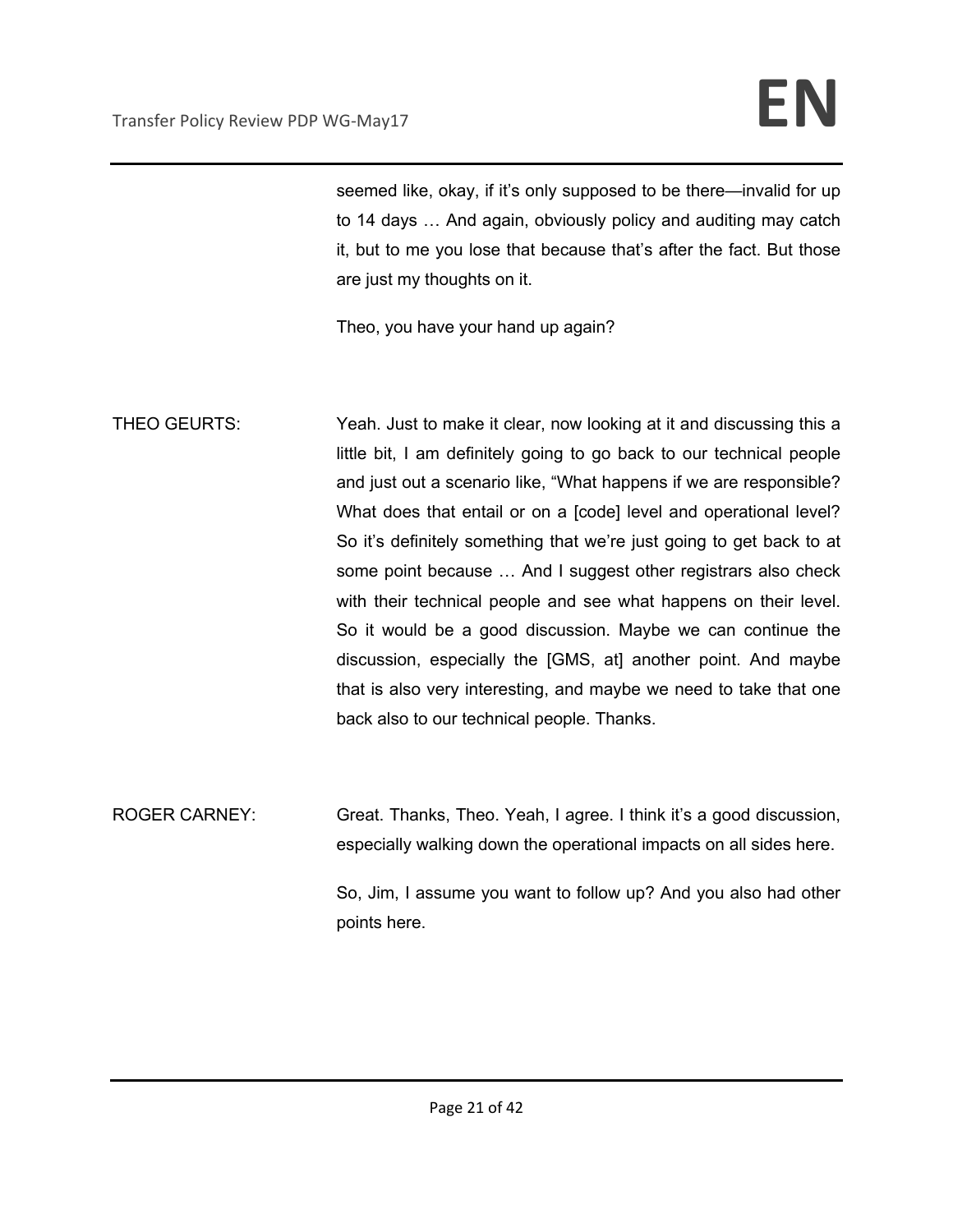seemed like, okay, if it's only supposed to be there—invalid for up to 14 days … And again, obviously policy and auditing may catch it, but to me you lose that because that's after the fact. But those are just my thoughts on it.

Theo, you have your hand up again?

THEO GEURTS: Yeah. Just to make it clear, now looking at it and discussing this a little bit, I am definitely going to go back to our technical people and just out a scenario like, "What happens if we are responsible? What does that entail or on a [code] level and operational level? So it's definitely something that we're just going to get back to at some point because … And I suggest other registrars also check with their technical people and see what happens on their level. So it would be a good discussion. Maybe we can continue the discussion, especially the [GMS, at] another point. And maybe that is also very interesting, and maybe we need to take that one back also to our technical people. Thanks.

ROGER CARNEY: Great. Thanks, Theo. Yeah, I agree. I think it's a good discussion, especially walking down the operational impacts on all sides here.

> So, Jim, I assume you want to follow up? And you also had other points here.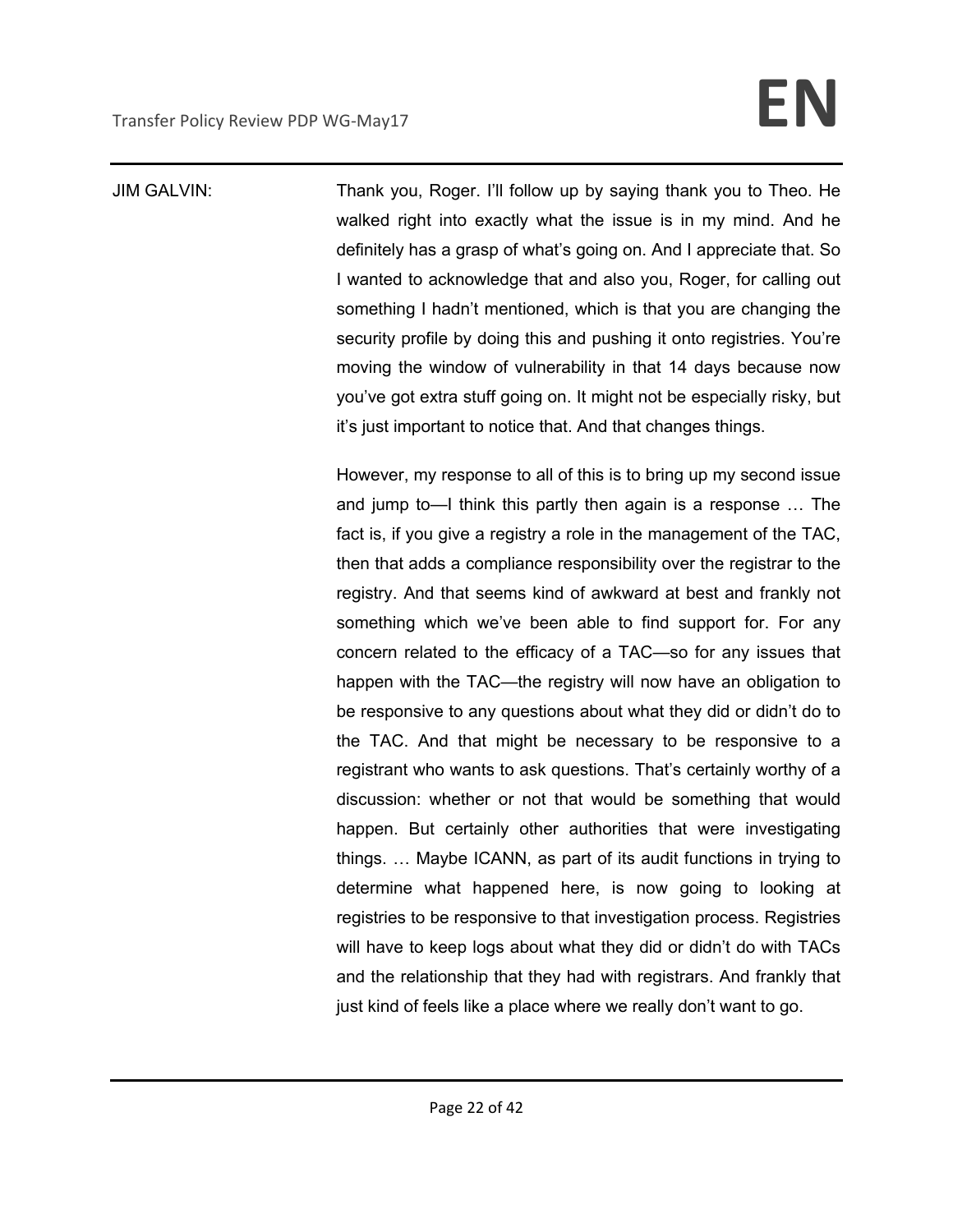# Transfer Policy Review PDP WG-May17 **EN**

JIM GALVIN: Thank you, Roger. I'll follow up by saying thank you to Theo. He walked right into exactly what the issue is in my mind. And he definitely has a grasp of what's going on. And I appreciate that. So I wanted to acknowledge that and also you, Roger, for calling out something I hadn't mentioned, which is that you are changing the security profile by doing this and pushing it onto registries. You're moving the window of vulnerability in that 14 days because now you've got extra stuff going on. It might not be especially risky, but it's just important to notice that. And that changes things.

> However, my response to all of this is to bring up my second issue and jump to—I think this partly then again is a response … The fact is, if you give a registry a role in the management of the TAC, then that adds a compliance responsibility over the registrar to the registry. And that seems kind of awkward at best and frankly not something which we've been able to find support for. For any concern related to the efficacy of a TAC—so for any issues that happen with the TAC—the registry will now have an obligation to be responsive to any questions about what they did or didn't do to the TAC. And that might be necessary to be responsive to a registrant who wants to ask questions. That's certainly worthy of a discussion: whether or not that would be something that would happen. But certainly other authorities that were investigating things. … Maybe ICANN, as part of its audit functions in trying to determine what happened here, is now going to looking at registries to be responsive to that investigation process. Registries will have to keep logs about what they did or didn't do with TACs and the relationship that they had with registrars. And frankly that just kind of feels like a place where we really don't want to go.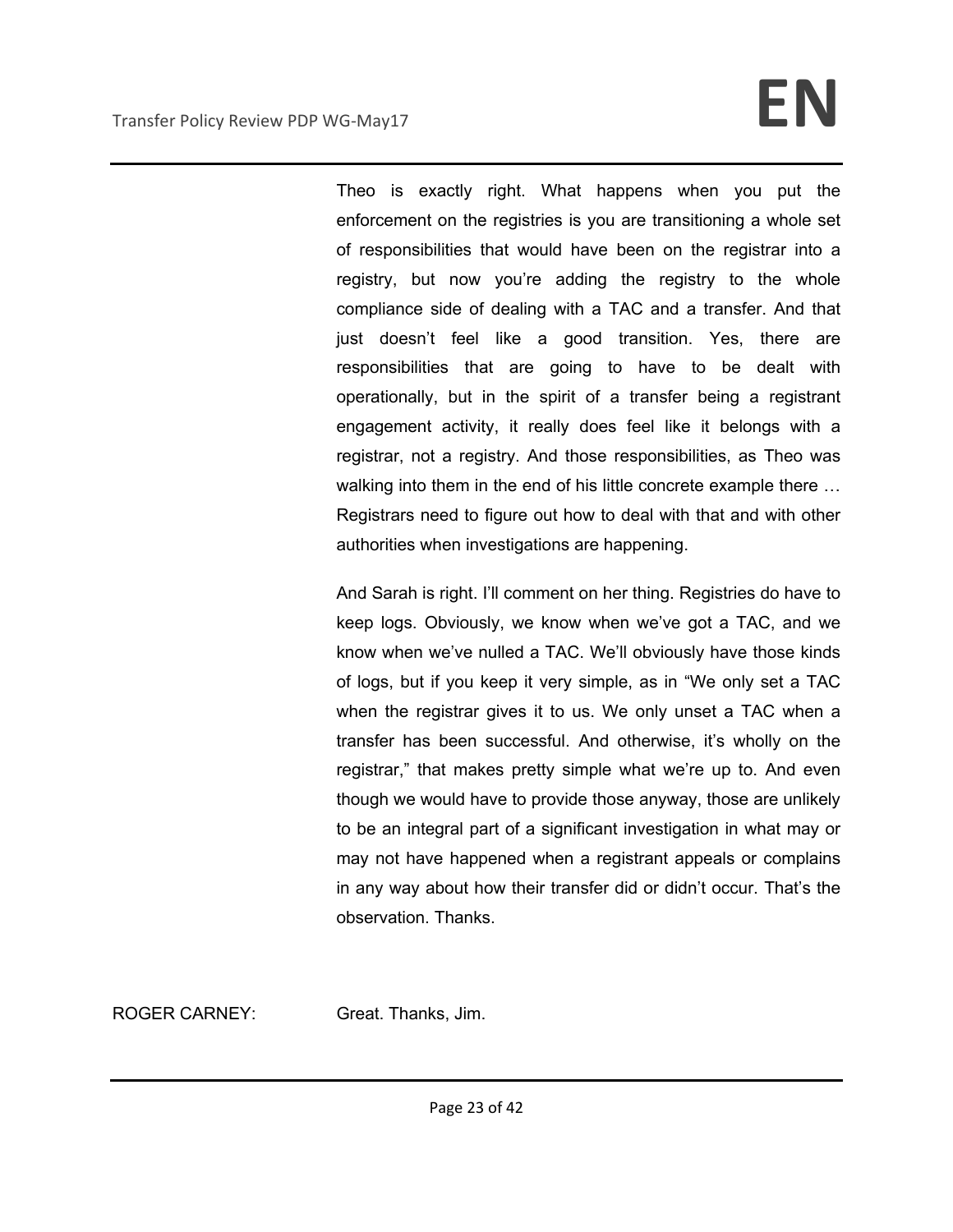## Transfer Policy Review PDP WG-May17 **EN**

Theo is exactly right. What happens when you put the enforcement on the registries is you are transitioning a whole set of responsibilities that would have been on the registrar into a registry, but now you're adding the registry to the whole compliance side of dealing with a TAC and a transfer. And that just doesn't feel like a good transition. Yes, there are responsibilities that are going to have to be dealt with operationally, but in the spirit of a transfer being a registrant engagement activity, it really does feel like it belongs with a registrar, not a registry. And those responsibilities, as Theo was walking into them in the end of his little concrete example there ... Registrars need to figure out how to deal with that and with other authorities when investigations are happening.

And Sarah is right. I'll comment on her thing. Registries do have to keep logs. Obviously, we know when we've got a TAC, and we know when we've nulled a TAC. We'll obviously have those kinds of logs, but if you keep it very simple, as in "We only set a TAC when the registrar gives it to us. We only unset a TAC when a transfer has been successful. And otherwise, it's wholly on the registrar," that makes pretty simple what we're up to. And even though we would have to provide those anyway, those are unlikely to be an integral part of a significant investigation in what may or may not have happened when a registrant appeals or complains in any way about how their transfer did or didn't occur. That's the observation. Thanks.

ROGER CARNEY: Great. Thanks, Jim.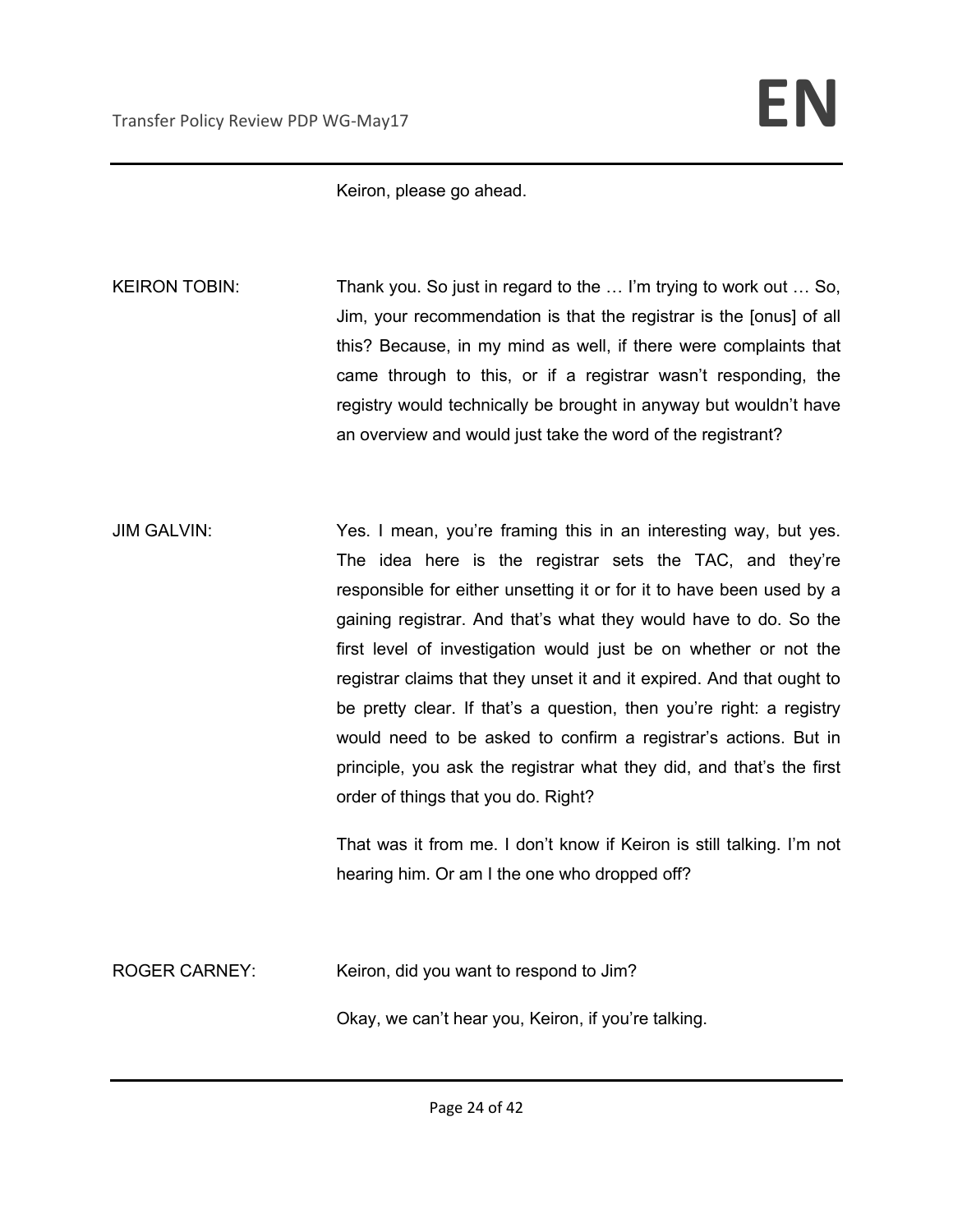Keiron, please go ahead.

KEIRON TOBIN: Thank you. So just in regard to the ... I'm trying to work out ... So, Jim, your recommendation is that the registrar is the [onus] of all this? Because, in my mind as well, if there were complaints that came through to this, or if a registrar wasn't responding, the registry would technically be brought in anyway but wouldn't have an overview and would just take the word of the registrant?

JIM GALVIN: Yes. I mean, you're framing this in an interesting way, but yes. The idea here is the registrar sets the TAC, and they're responsible for either unsetting it or for it to have been used by a gaining registrar. And that's what they would have to do. So the first level of investigation would just be on whether or not the registrar claims that they unset it and it expired. And that ought to be pretty clear. If that's a question, then you're right: a registry would need to be asked to confirm a registrar's actions. But in principle, you ask the registrar what they did, and that's the first order of things that you do. Right?

> That was it from me. I don't know if Keiron is still talking. I'm not hearing him. Or am I the one who dropped off?

ROGER CARNEY: Keiron, did you want to respond to Jim?

Okay, we can't hear you, Keiron, if you're talking.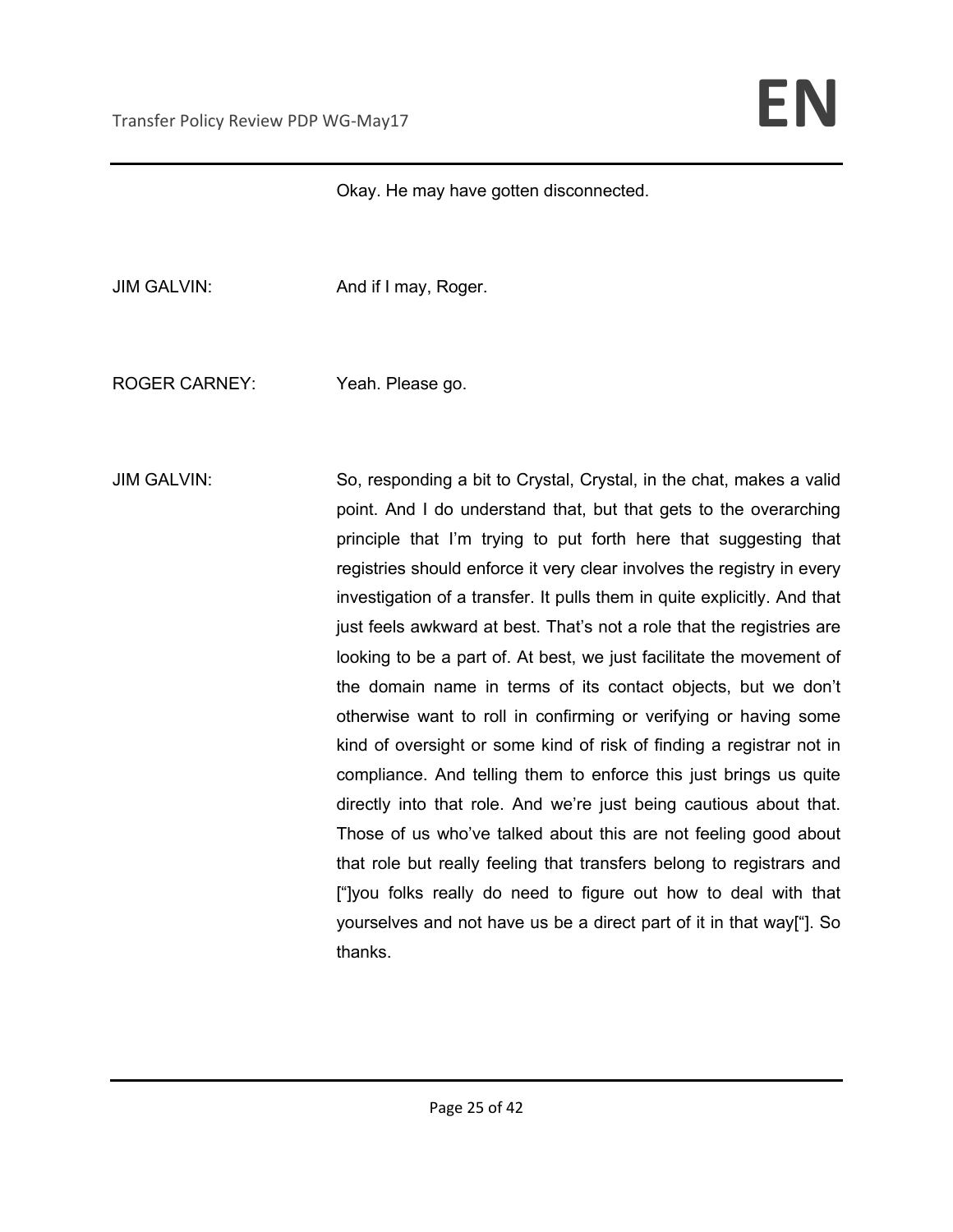Okay. He may have gotten disconnected.

JIM GALVIN: And if I may, Roger.

ROGER CARNEY: Yeah. Please go.

JIM GALVIN: So, responding a bit to Crystal, Crystal, in the chat, makes a valid point. And I do understand that, but that gets to the overarching principle that I'm trying to put forth here that suggesting that registries should enforce it very clear involves the registry in every investigation of a transfer. It pulls them in quite explicitly. And that just feels awkward at best. That's not a role that the registries are looking to be a part of. At best, we just facilitate the movement of the domain name in terms of its contact objects, but we don't otherwise want to roll in confirming or verifying or having some kind of oversight or some kind of risk of finding a registrar not in compliance. And telling them to enforce this just brings us quite directly into that role. And we're just being cautious about that. Those of us who've talked about this are not feeling good about that role but really feeling that transfers belong to registrars and ["]you folks really do need to figure out how to deal with that yourselves and not have us be a direct part of it in that way["]. So thanks.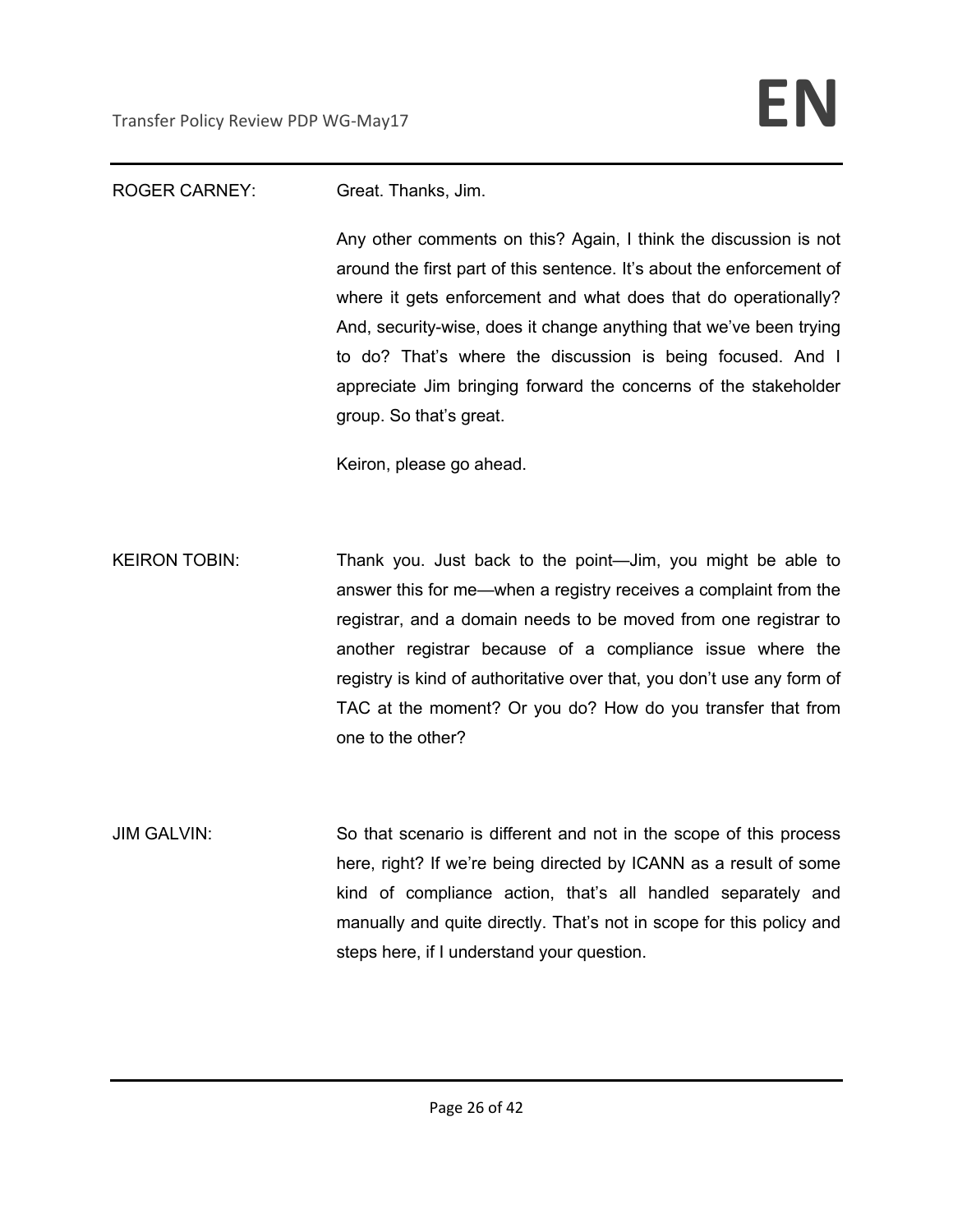### ROGER CARNEY: Great. Thanks, Jim.

Any other comments on this? Again, I think the discussion is not around the first part of this sentence. It's about the enforcement of where it gets enforcement and what does that do operationally? And, security-wise, does it change anything that we've been trying to do? That's where the discussion is being focused. And I appreciate Jim bringing forward the concerns of the stakeholder group. So that's great.

Keiron, please go ahead.

KEIRON TOBIN: Thank you. Just back to the point—Jim, you might be able to answer this for me—when a registry receives a complaint from the registrar, and a domain needs to be moved from one registrar to another registrar because of a compliance issue where the registry is kind of authoritative over that, you don't use any form of TAC at the moment? Or you do? How do you transfer that from one to the other?

JIM GALVIN: So that scenario is different and not in the scope of this process here, right? If we're being directed by ICANN as a result of some kind of compliance action, that's all handled separately and manually and quite directly. That's not in scope for this policy and steps here, if I understand your question.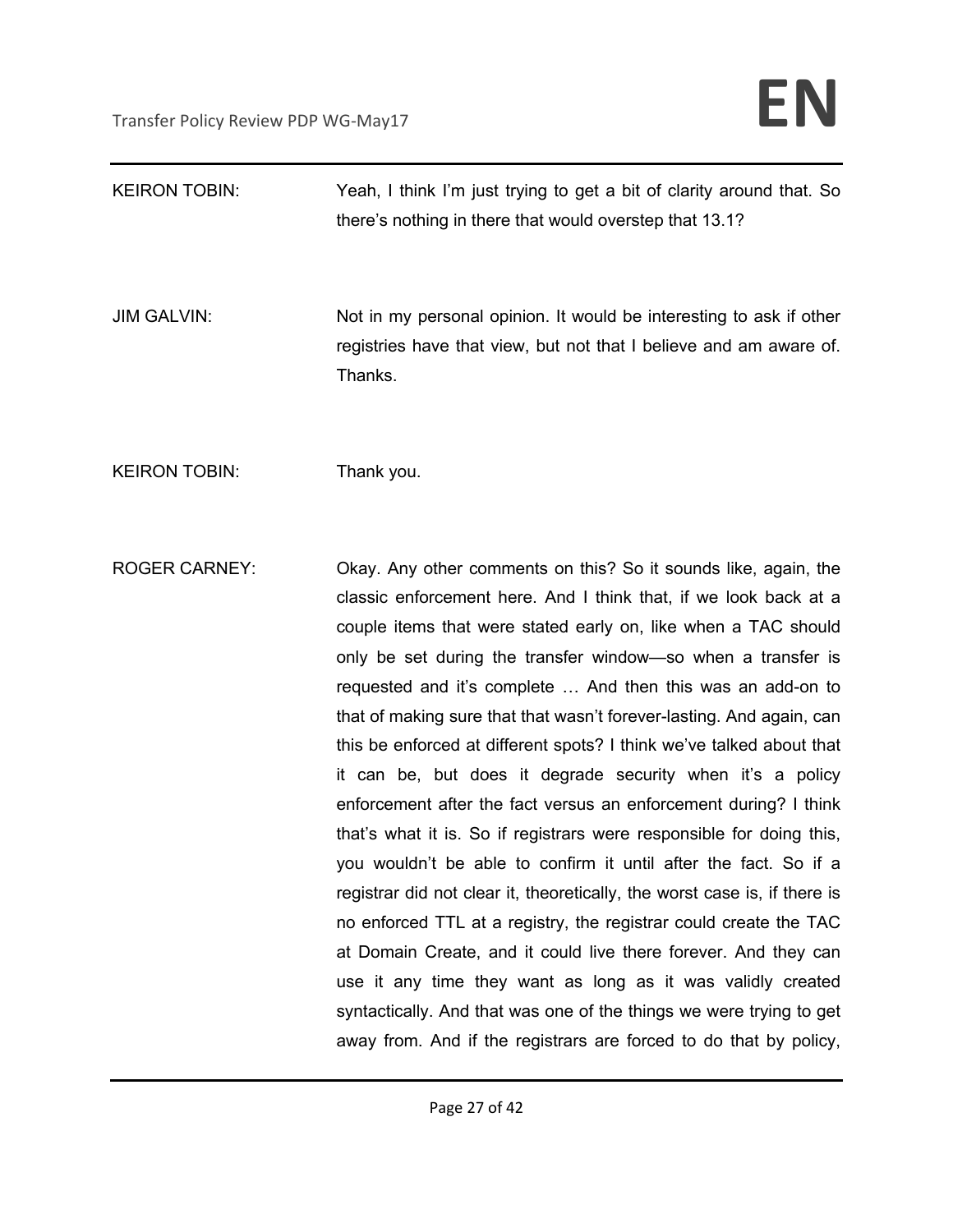| <b>KEIRON TOBIN:</b> | Yeah, I think I'm just trying to get a bit of clarity around that. So<br>there's nothing in there that would overstep that 13.1?                                                                                                                                                                                                                                                                                                                                                                                                                                                                                                                                                                                                                                                                                                                                                                                                                                                                                                                                                                                                                                                                   |
|----------------------|----------------------------------------------------------------------------------------------------------------------------------------------------------------------------------------------------------------------------------------------------------------------------------------------------------------------------------------------------------------------------------------------------------------------------------------------------------------------------------------------------------------------------------------------------------------------------------------------------------------------------------------------------------------------------------------------------------------------------------------------------------------------------------------------------------------------------------------------------------------------------------------------------------------------------------------------------------------------------------------------------------------------------------------------------------------------------------------------------------------------------------------------------------------------------------------------------|
| <b>JIM GALVIN:</b>   | Not in my personal opinion. It would be interesting to ask if other<br>registries have that view, but not that I believe and am aware of.<br>Thanks.                                                                                                                                                                                                                                                                                                                                                                                                                                                                                                                                                                                                                                                                                                                                                                                                                                                                                                                                                                                                                                               |
| <b>KEIRON TOBIN:</b> | Thank you.                                                                                                                                                                                                                                                                                                                                                                                                                                                                                                                                                                                                                                                                                                                                                                                                                                                                                                                                                                                                                                                                                                                                                                                         |
| <b>ROGER CARNEY:</b> | Okay. Any other comments on this? So it sounds like, again, the<br>classic enforcement here. And I think that, if we look back at a<br>couple items that were stated early on, like when a TAC should<br>only be set during the transfer window—so when a transfer is<br>requested and it's complete  And then this was an add-on to<br>that of making sure that that wasn't forever-lasting. And again, can<br>this be enforced at different spots? I think we've talked about that<br>it can be, but does it degrade security when it's a policy<br>enforcement after the fact versus an enforcement during? I think<br>that's what it is. So if registrars were responsible for doing this,<br>you wouldn't be able to confirm it until after the fact. So if a<br>registrar did not clear it, theoretically, the worst case is, if there is<br>no enforced TTL at a registry, the registrar could create the TAC<br>at Domain Create, and it could live there forever. And they can<br>use it any time they want as long as it was validly created<br>syntactically. And that was one of the things we were trying to get<br>away from. And if the registrars are forced to do that by policy, |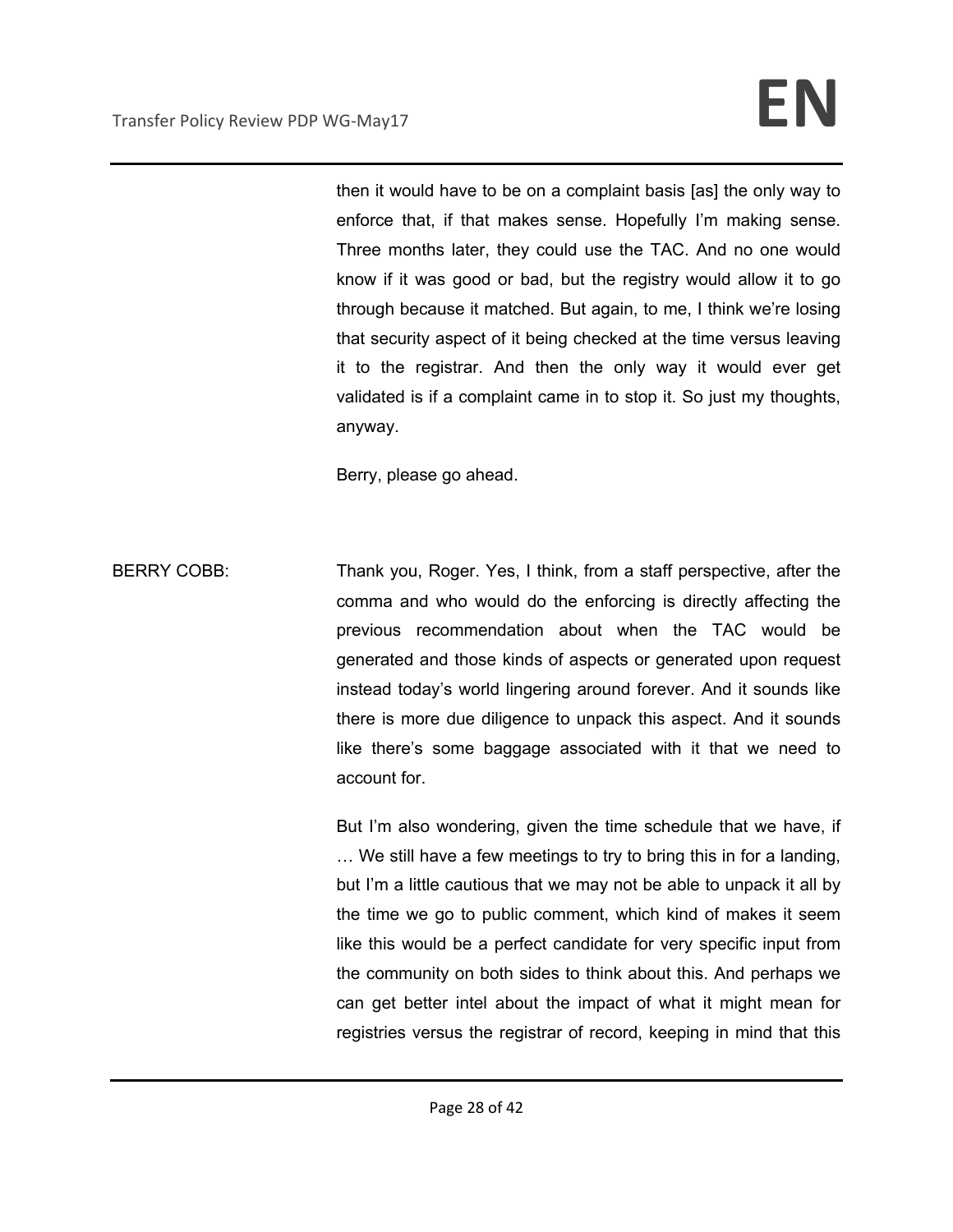then it would have to be on a complaint basis [as] the only way to enforce that, if that makes sense. Hopefully I'm making sense. Three months later, they could use the TAC. And no one would know if it was good or bad, but the registry would allow it to go through because it matched. But again, to me, I think we're losing that security aspect of it being checked at the time versus leaving it to the registrar. And then the only way it would ever get validated is if a complaint came in to stop it. So just my thoughts, anyway.

Berry, please go ahead.

BERRY COBB: Thank you, Roger. Yes, I think, from a staff perspective, after the comma and who would do the enforcing is directly affecting the previous recommendation about when the TAC would be generated and those kinds of aspects or generated upon request instead today's world lingering around forever. And it sounds like there is more due diligence to unpack this aspect. And it sounds like there's some baggage associated with it that we need to account for.

> But I'm also wondering, given the time schedule that we have, if … We still have a few meetings to try to bring this in for a landing, but I'm a little cautious that we may not be able to unpack it all by the time we go to public comment, which kind of makes it seem like this would be a perfect candidate for very specific input from the community on both sides to think about this. And perhaps we can get better intel about the impact of what it might mean for registries versus the registrar of record, keeping in mind that this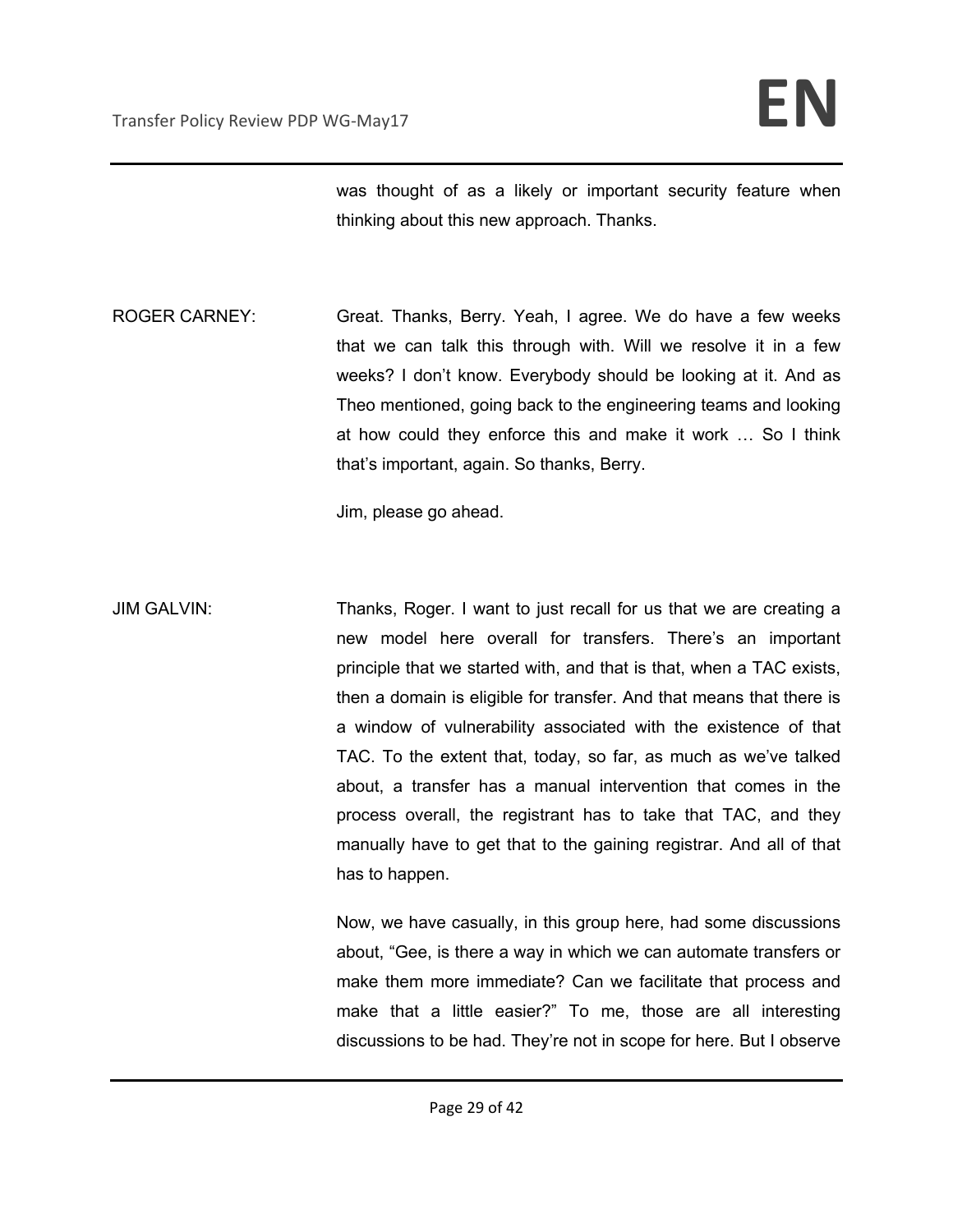was thought of as a likely or important security feature when thinking about this new approach. Thanks.

ROGER CARNEY: Great. Thanks, Berry. Yeah, I agree. We do have a few weeks that we can talk this through with. Will we resolve it in a few weeks? I don't know. Everybody should be looking at it. And as Theo mentioned, going back to the engineering teams and looking at how could they enforce this and make it work … So I think that's important, again. So thanks, Berry.

Jim, please go ahead.

JIM GALVIN: Thanks, Roger. I want to just recall for us that we are creating a new model here overall for transfers. There's an important principle that we started with, and that is that, when a TAC exists, then a domain is eligible for transfer. And that means that there is a window of vulnerability associated with the existence of that TAC. To the extent that, today, so far, as much as we've talked about, a transfer has a manual intervention that comes in the process overall, the registrant has to take that TAC, and they manually have to get that to the gaining registrar. And all of that has to happen.

> Now, we have casually, in this group here, had some discussions about, "Gee, is there a way in which we can automate transfers or make them more immediate? Can we facilitate that process and make that a little easier?" To me, those are all interesting discussions to be had. They're not in scope for here. But I observe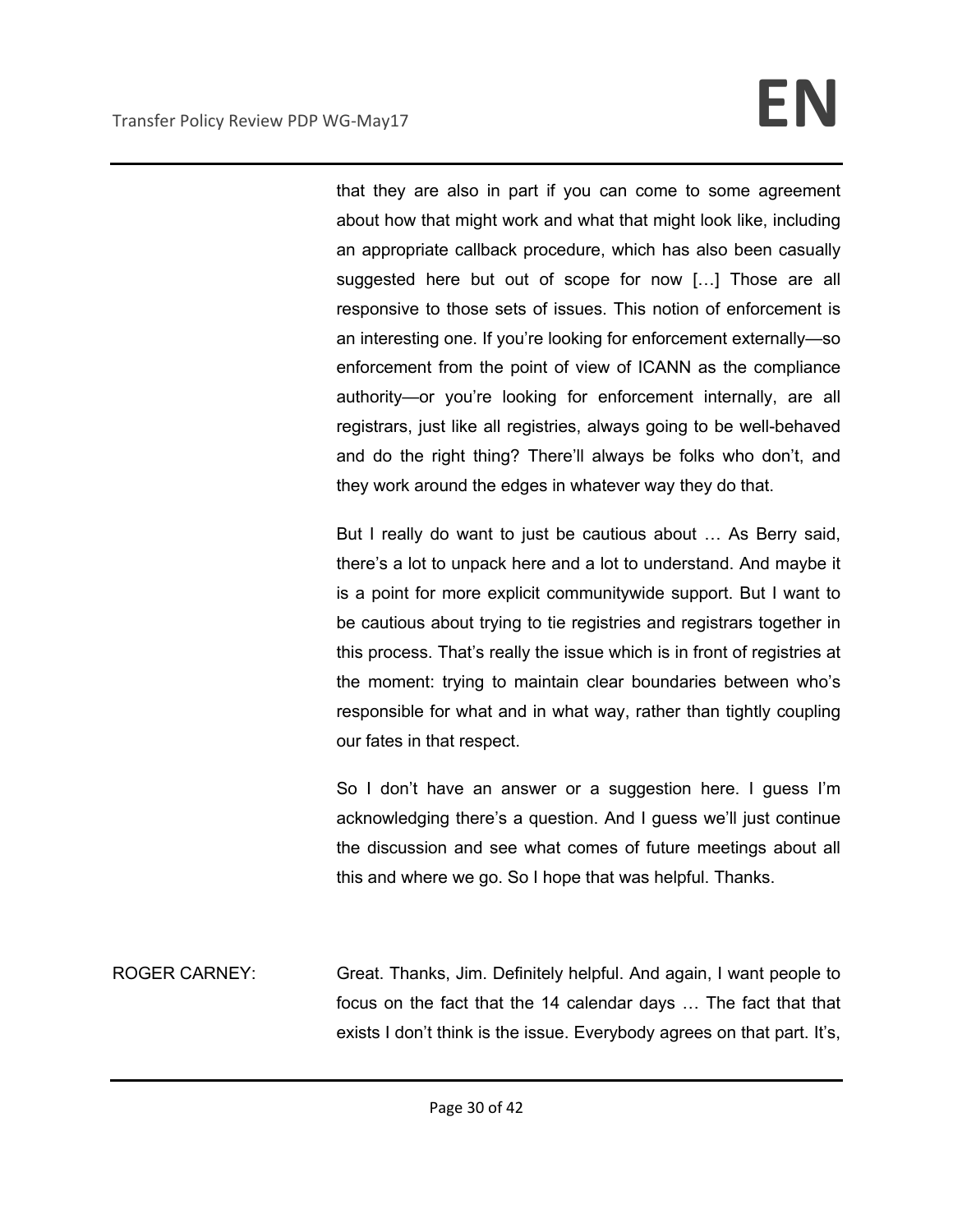# Transfer Policy Review PDP WG-May17 **EN**

that they are also in part if you can come to some agreement about how that might work and what that might look like, including an appropriate callback procedure, which has also been casually suggested here but out of scope for now […] Those are all responsive to those sets of issues. This notion of enforcement is an interesting one. If you're looking for enforcement externally—so enforcement from the point of view of ICANN as the compliance authority—or you're looking for enforcement internally, are all registrars, just like all registries, always going to be well-behaved and do the right thing? There'll always be folks who don't, and they work around the edges in whatever way they do that.

But I really do want to just be cautious about … As Berry said, there's a lot to unpack here and a lot to understand. And maybe it is a point for more explicit communitywide support. But I want to be cautious about trying to tie registries and registrars together in this process. That's really the issue which is in front of registries at the moment: trying to maintain clear boundaries between who's responsible for what and in what way, rather than tightly coupling our fates in that respect.

So I don't have an answer or a suggestion here. I guess I'm acknowledging there's a question. And I guess we'll just continue the discussion and see what comes of future meetings about all this and where we go. So I hope that was helpful. Thanks.

ROGER CARNEY: Great. Thanks, Jim. Definitely helpful. And again, I want people to focus on the fact that the 14 calendar days … The fact that that exists I don't think is the issue. Everybody agrees on that part. It's,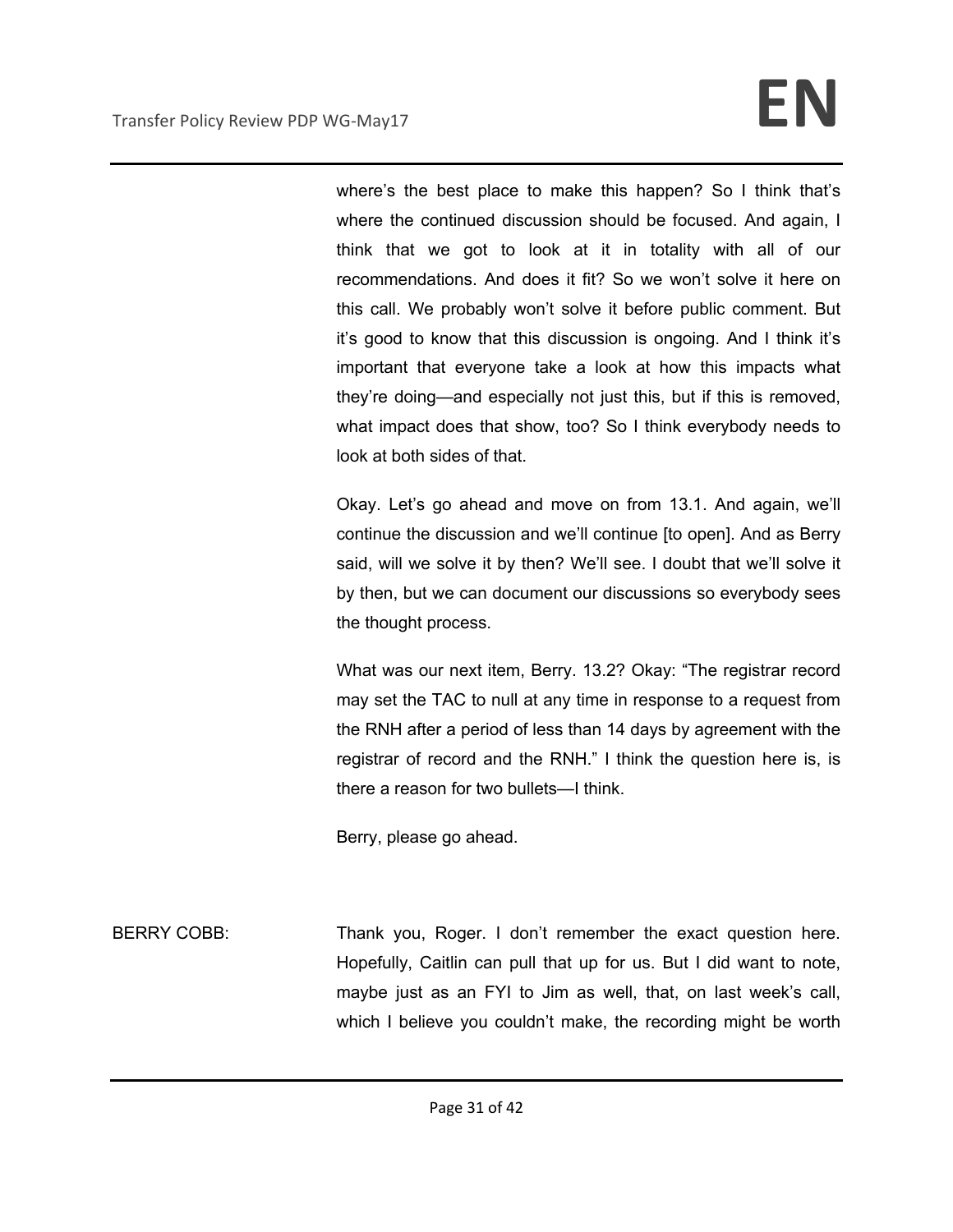where's the best place to make this happen? So I think that's where the continued discussion should be focused. And again, I think that we got to look at it in totality with all of our recommendations. And does it fit? So we won't solve it here on this call. We probably won't solve it before public comment. But it's good to know that this discussion is ongoing. And I think it's important that everyone take a look at how this impacts what they're doing—and especially not just this, but if this is removed, what impact does that show, too? So I think everybody needs to look at both sides of that.

Okay. Let's go ahead and move on from 13.1. And again, we'll continue the discussion and we'll continue [to open]. And as Berry said, will we solve it by then? We'll see. I doubt that we'll solve it by then, but we can document our discussions so everybody sees the thought process.

What was our next item, Berry. 13.2? Okay: "The registrar record may set the TAC to null at any time in response to a request from the RNH after a period of less than 14 days by agreement with the registrar of record and the RNH." I think the question here is, is there a reason for two bullets—I think.

Berry, please go ahead.

BERRY COBB: Thank you, Roger. I don't remember the exact question here. Hopefully, Caitlin can pull that up for us. But I did want to note, maybe just as an FYI to Jim as well, that, on last week's call, which I believe you couldn't make, the recording might be worth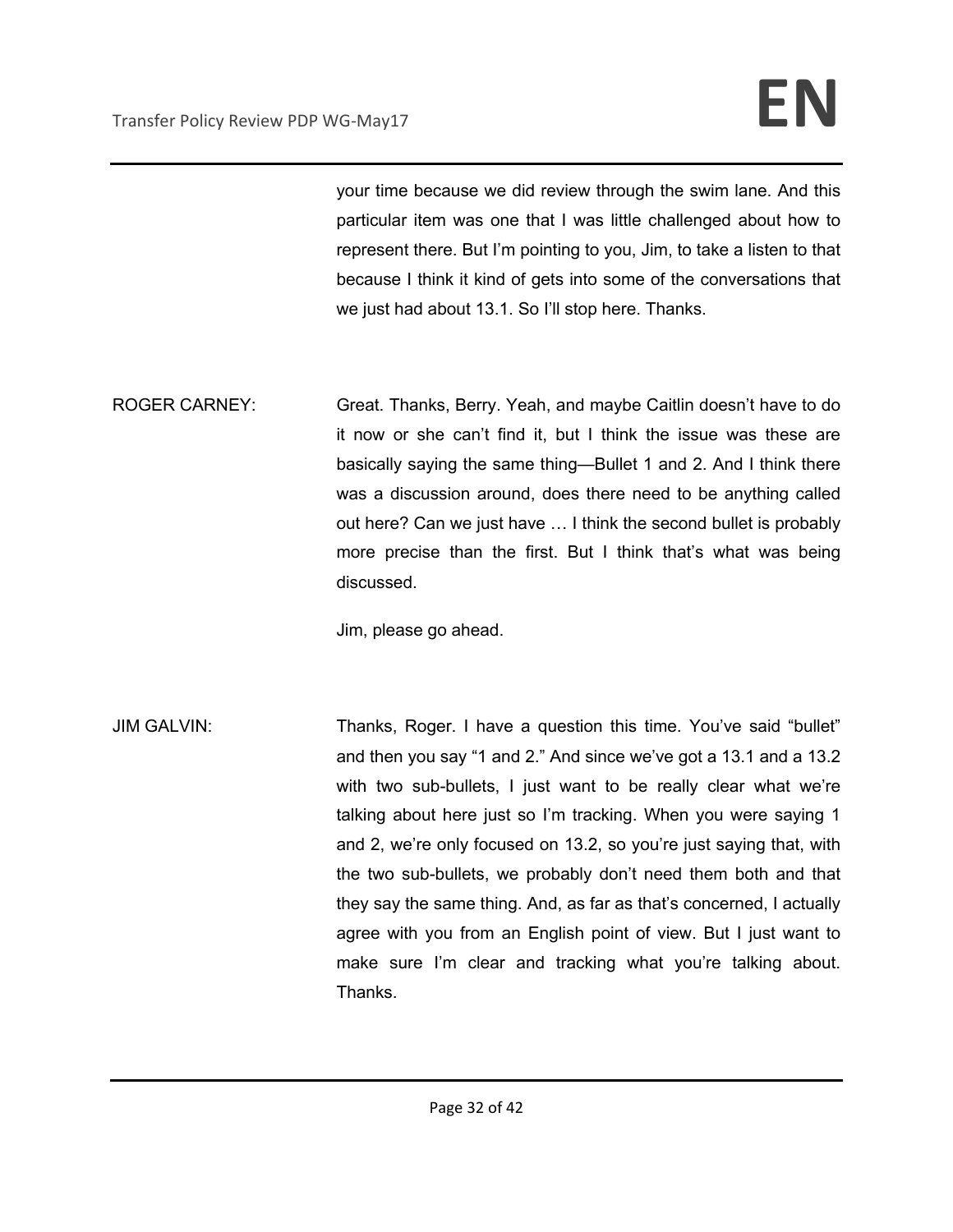your time because we did review through the swim lane. And this particular item was one that I was little challenged about how to represent there. But I'm pointing to you, Jim, to take a listen to that because I think it kind of gets into some of the conversations that we just had about 13.1. So I'll stop here. Thanks.

ROGER CARNEY: Great. Thanks, Berry. Yeah, and maybe Caitlin doesn't have to do it now or she can't find it, but I think the issue was these are basically saying the same thing—Bullet 1 and 2. And I think there was a discussion around, does there need to be anything called out here? Can we just have … I think the second bullet is probably more precise than the first. But I think that's what was being discussed.

Jim, please go ahead.

JIM GALVIN: Thanks, Roger. I have a question this time. You've said "bullet" and then you say "1 and 2." And since we've got a 13.1 and a 13.2 with two sub-bullets, I just want to be really clear what we're talking about here just so I'm tracking. When you were saying 1 and 2, we're only focused on 13.2, so you're just saying that, with the two sub-bullets, we probably don't need them both and that they say the same thing. And, as far as that's concerned, I actually agree with you from an English point of view. But I just want to make sure I'm clear and tracking what you're talking about. Thanks.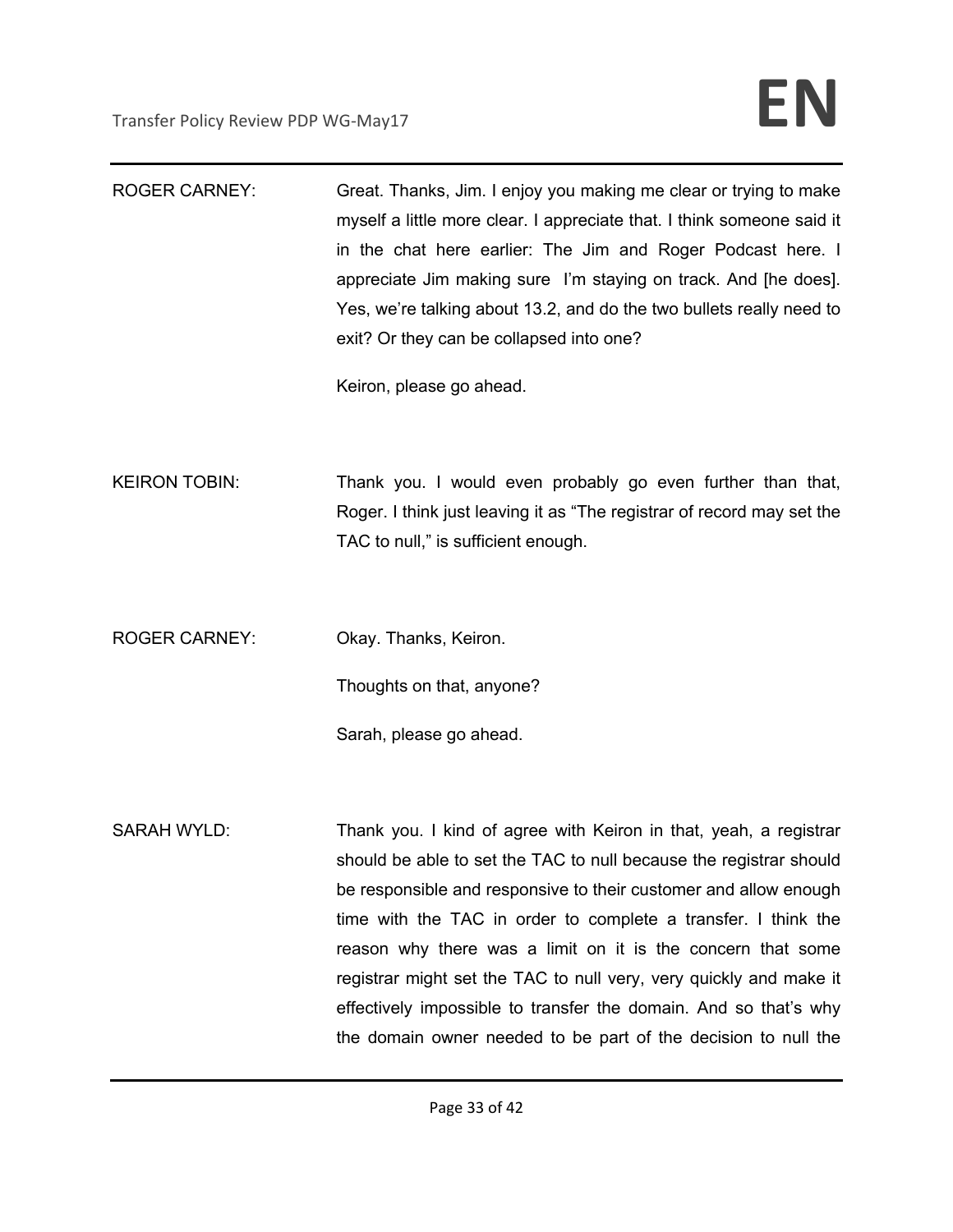| <b>ROGER CARNEY:</b> | Great. Thanks, Jim. I enjoy you making me clear or trying to make<br>myself a little more clear. I appreciate that. I think someone said it<br>in the chat here earlier: The Jim and Roger Podcast here. I<br>appreciate Jim making sure I'm staying on track. And [he does].<br>Yes, we're talking about 13.2, and do the two bullets really need to<br>exit? Or they can be collapsed into one?<br>Keiron, please go ahead.                                                                                                                            |
|----------------------|----------------------------------------------------------------------------------------------------------------------------------------------------------------------------------------------------------------------------------------------------------------------------------------------------------------------------------------------------------------------------------------------------------------------------------------------------------------------------------------------------------------------------------------------------------|
| <b>KEIRON TOBIN:</b> | Thank you. I would even probably go even further than that,<br>Roger. I think just leaving it as "The registrar of record may set the<br>TAC to null," is sufficient enough.                                                                                                                                                                                                                                                                                                                                                                             |
| <b>ROGER CARNEY:</b> | Okay. Thanks, Keiron.<br>Thoughts on that, anyone?<br>Sarah, please go ahead.                                                                                                                                                                                                                                                                                                                                                                                                                                                                            |
| <b>SARAH WYLD:</b>   | Thank you. I kind of agree with Keiron in that, yeah, a registrar<br>should be able to set the TAC to null because the registrar should<br>be responsible and responsive to their customer and allow enough<br>time with the TAC in order to complete a transfer. I think the<br>reason why there was a limit on it is the concern that some<br>registrar might set the TAC to null very, very quickly and make it<br>effectively impossible to transfer the domain. And so that's why<br>the domain owner needed to be part of the decision to null the |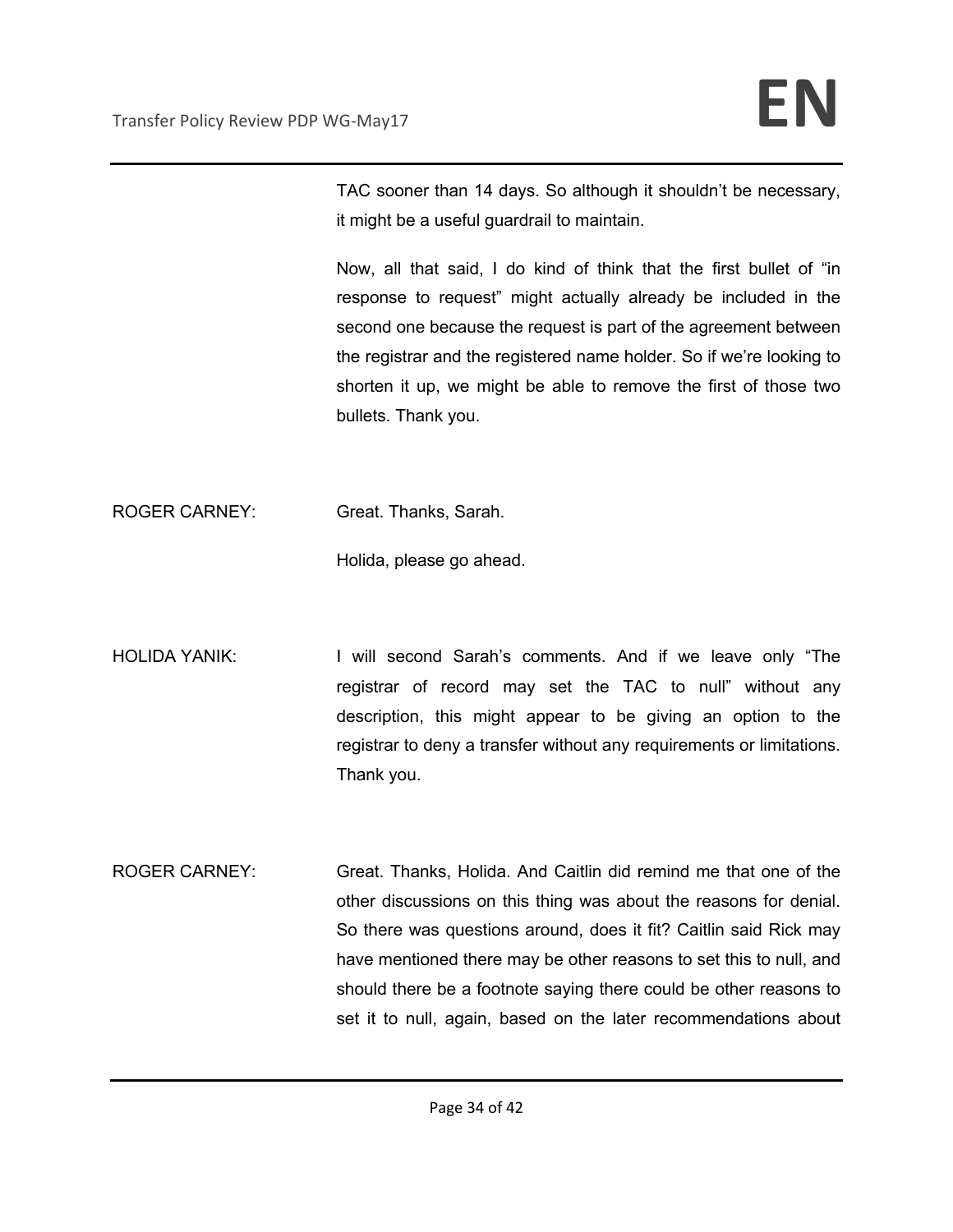TAC sooner than 14 days. So although it shouldn't be necessary, it might be a useful guardrail to maintain.

Now, all that said, I do kind of think that the first bullet of "in response to request" might actually already be included in the second one because the request is part of the agreement between the registrar and the registered name holder. So if we're looking to shorten it up, we might be able to remove the first of those two bullets. Thank you.

ROGER CARNEY: Great. Thanks, Sarah.

Holida, please go ahead.

- HOLIDA YANIK: I will second Sarah's comments. And if we leave only "The registrar of record may set the TAC to null" without any description, this might appear to be giving an option to the registrar to deny a transfer without any requirements or limitations. Thank you.
- ROGER CARNEY: Great. Thanks, Holida. And Caitlin did remind me that one of the other discussions on this thing was about the reasons for denial. So there was questions around, does it fit? Caitlin said Rick may have mentioned there may be other reasons to set this to null, and should there be a footnote saying there could be other reasons to set it to null, again, based on the later recommendations about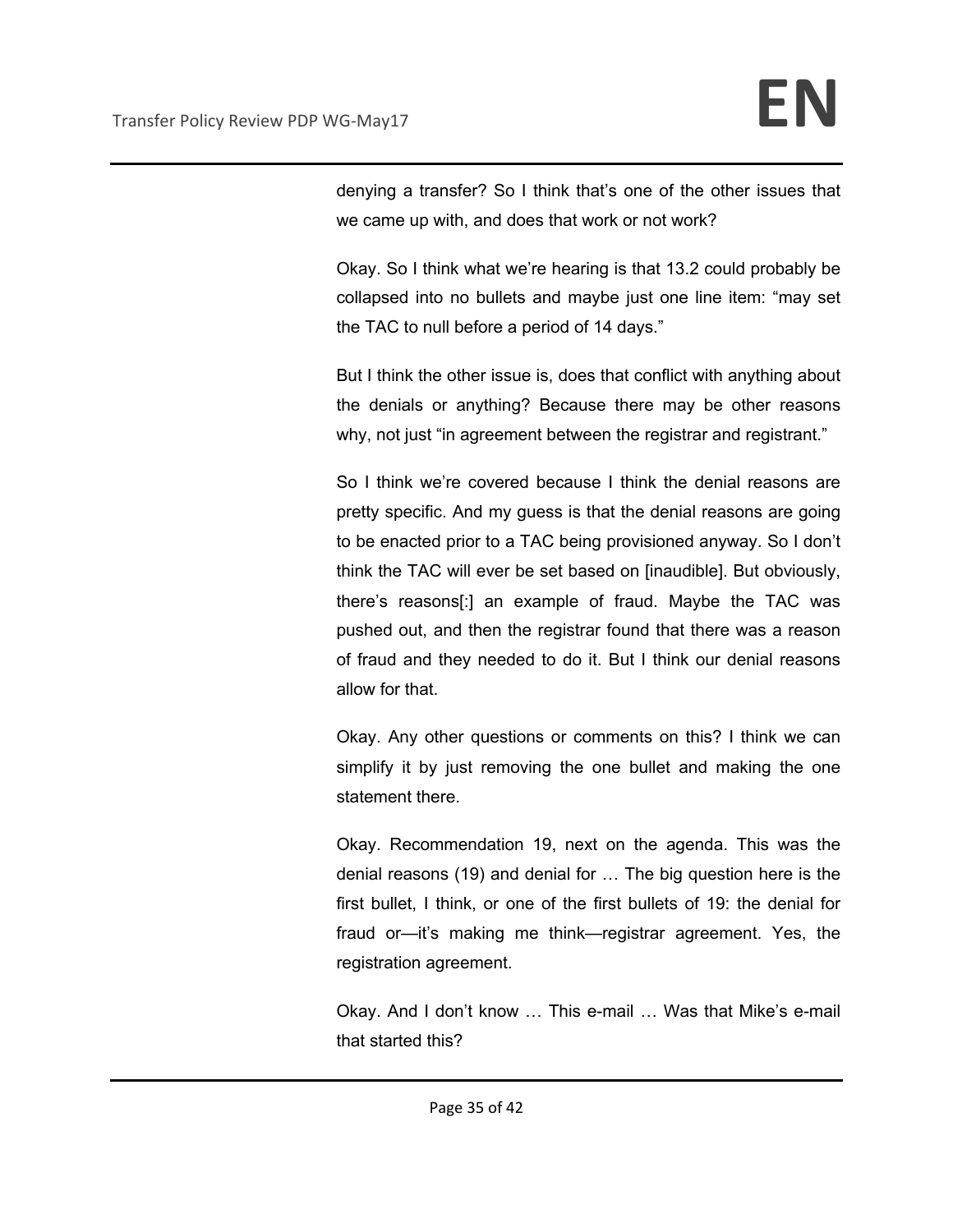denying a transfer? So I think that's one of the other issues that we came up with, and does that work or not work?

Okay. So I think what we're hearing is that 13.2 could probably be collapsed into no bullets and maybe just one line item: "may set the TAC to null before a period of 14 days."

But I think the other issue is, does that conflict with anything about the denials or anything? Because there may be other reasons why, not just "in agreement between the registrar and registrant."

So I think we're covered because I think the denial reasons are pretty specific. And my guess is that the denial reasons are going to be enacted prior to a TAC being provisioned anyway. So I don't think the TAC will ever be set based on [inaudible]. But obviously, there's reasons[:] an example of fraud. Maybe the TAC was pushed out, and then the registrar found that there was a reason of fraud and they needed to do it. But I think our denial reasons allow for that.

Okay. Any other questions or comments on this? I think we can simplify it by just removing the one bullet and making the one statement there.

Okay. Recommendation 19, next on the agenda. This was the denial reasons (19) and denial for … The big question here is the first bullet, I think, or one of the first bullets of 19: the denial for fraud or—it's making me think—registrar agreement. Yes, the registration agreement.

Okay. And I don't know … This e-mail … Was that Mike's e-mail that started this?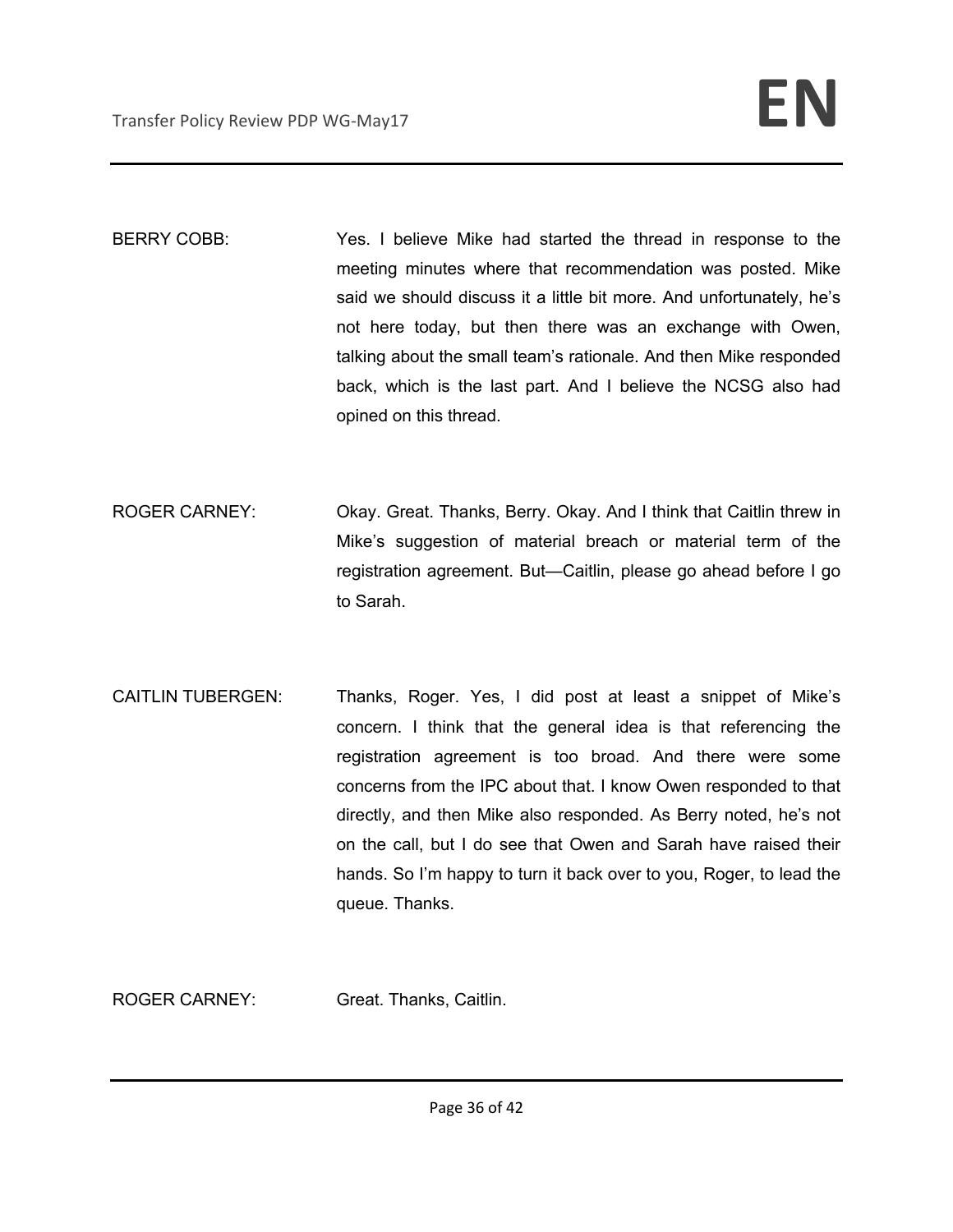BERRY COBB: Yes. I believe Mike had started the thread in response to the meeting minutes where that recommendation was posted. Mike said we should discuss it a little bit more. And unfortunately, he's not here today, but then there was an exchange with Owen, talking about the small team's rationale. And then Mike responded back, which is the last part. And I believe the NCSG also had opined on this thread.

- ROGER CARNEY: Okay. Great. Thanks, Berry. Okay. And I think that Caitlin threw in Mike's suggestion of material breach or material term of the registration agreement. But—Caitlin, please go ahead before I go to Sarah.
- CAITLIN TUBERGEN: Thanks, Roger. Yes, I did post at least a snippet of Mike's concern. I think that the general idea is that referencing the registration agreement is too broad. And there were some concerns from the IPC about that. I know Owen responded to that directly, and then Mike also responded. As Berry noted, he's not on the call, but I do see that Owen and Sarah have raised their hands. So I'm happy to turn it back over to you, Roger, to lead the queue. Thanks.

ROGER CARNEY: Great. Thanks, Caitlin.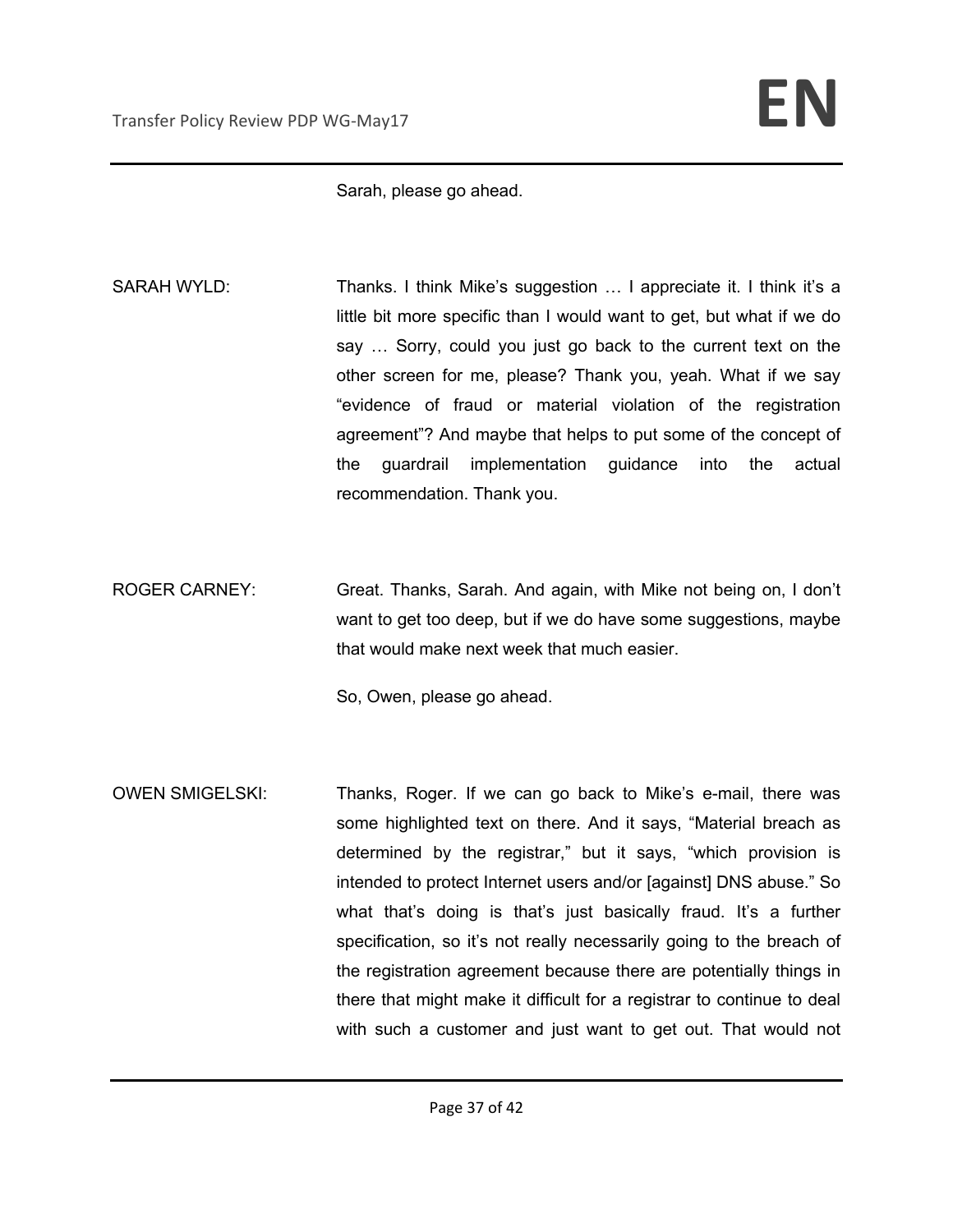Sarah, please go ahead.

- SARAH WYLD: Thanks. I think Mike's suggestion ... I appreciate it. I think it's a little bit more specific than I would want to get, but what if we do say … Sorry, could you just go back to the current text on the other screen for me, please? Thank you, yeah. What if we say "evidence of fraud or material violation of the registration agreement"? And maybe that helps to put some of the concept of the guardrail implementation guidance into the actual recommendation. Thank you.
- ROGER CARNEY: Great. Thanks, Sarah. And again, with Mike not being on, I don't want to get too deep, but if we do have some suggestions, maybe that would make next week that much easier.

So, Owen, please go ahead.

OWEN SMIGELSKI: Thanks, Roger. If we can go back to Mike's e-mail, there was some highlighted text on there. And it says, "Material breach as determined by the registrar," but it says, "which provision is intended to protect Internet users and/or [against] DNS abuse." So what that's doing is that's just basically fraud. It's a further specification, so it's not really necessarily going to the breach of the registration agreement because there are potentially things in there that might make it difficult for a registrar to continue to deal with such a customer and just want to get out. That would not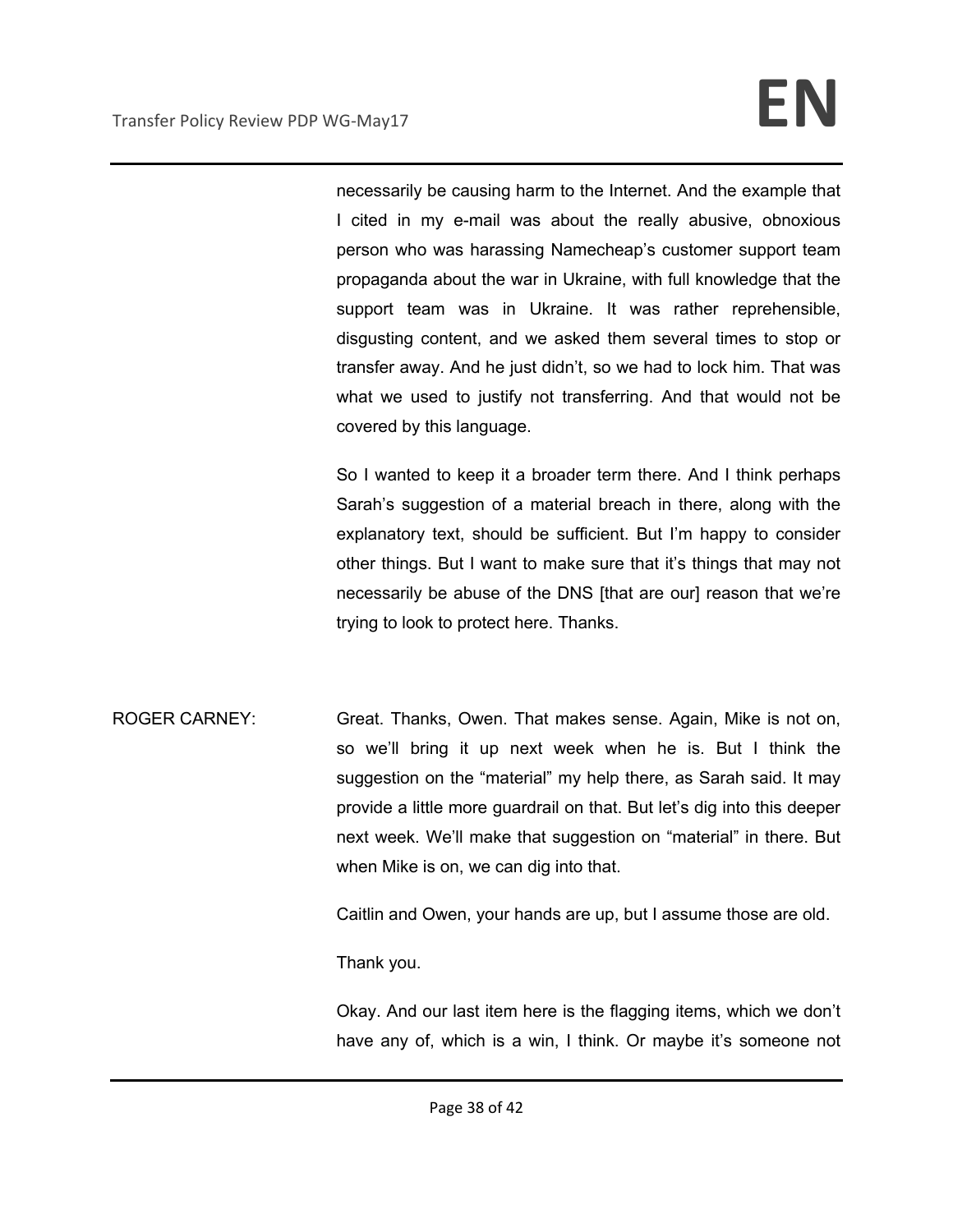necessarily be causing harm to the Internet. And the example that I cited in my e-mail was about the really abusive, obnoxious person who was harassing Namecheap's customer support team propaganda about the war in Ukraine, with full knowledge that the support team was in Ukraine. It was rather reprehensible, disgusting content, and we asked them several times to stop or transfer away. And he just didn't, so we had to lock him. That was what we used to justify not transferring. And that would not be covered by this language.

So I wanted to keep it a broader term there. And I think perhaps Sarah's suggestion of a material breach in there, along with the explanatory text, should be sufficient. But I'm happy to consider other things. But I want to make sure that it's things that may not necessarily be abuse of the DNS [that are our] reason that we're trying to look to protect here. Thanks.

ROGER CARNEY: Great. Thanks, Owen. That makes sense. Again, Mike is not on, so we'll bring it up next week when he is. But I think the suggestion on the "material" my help there, as Sarah said. It may provide a little more guardrail on that. But let's dig into this deeper next week. We'll make that suggestion on "material" in there. But when Mike is on, we can dig into that.

Caitlin and Owen, your hands are up, but I assume those are old.

Thank you.

Okay. And our last item here is the flagging items, which we don't have any of, which is a win, I think. Or maybe it's someone not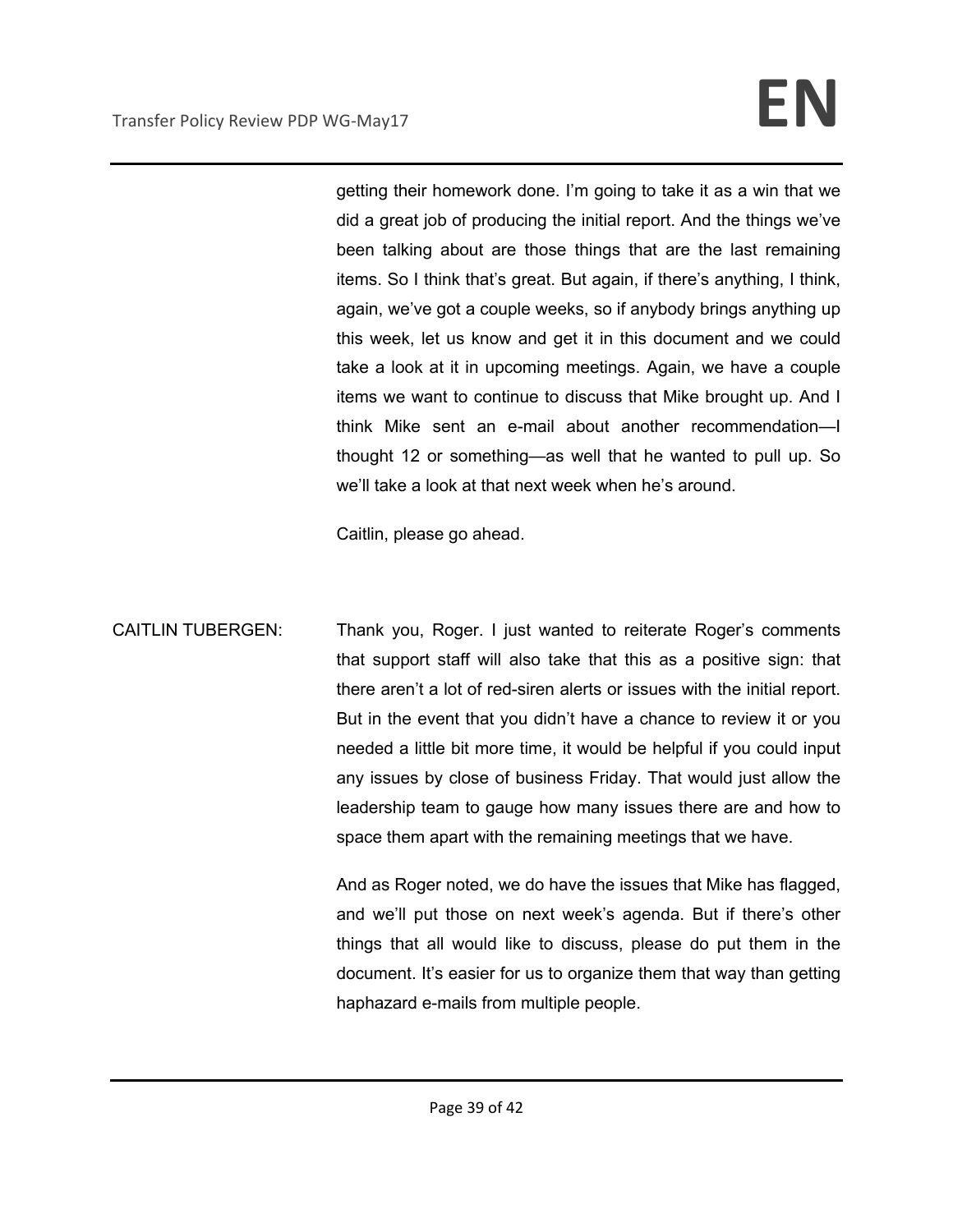getting their homework done. I'm going to take it as a win that we did a great job of producing the initial report. And the things we've been talking about are those things that are the last remaining items. So I think that's great. But again, if there's anything, I think, again, we've got a couple weeks, so if anybody brings anything up this week, let us know and get it in this document and we could take a look at it in upcoming meetings. Again, we have a couple items we want to continue to discuss that Mike brought up. And I think Mike sent an e-mail about another recommendation—I thought 12 or something—as well that he wanted to pull up. So we'll take a look at that next week when he's around.

Caitlin, please go ahead.

CAITLIN TUBERGEN: Thank you, Roger. I just wanted to reiterate Roger's comments that support staff will also take that this as a positive sign: that there aren't a lot of red-siren alerts or issues with the initial report. But in the event that you didn't have a chance to review it or you needed a little bit more time, it would be helpful if you could input any issues by close of business Friday. That would just allow the leadership team to gauge how many issues there are and how to space them apart with the remaining meetings that we have.

> And as Roger noted, we do have the issues that Mike has flagged, and we'll put those on next week's agenda. But if there's other things that all would like to discuss, please do put them in the document. It's easier for us to organize them that way than getting haphazard e-mails from multiple people.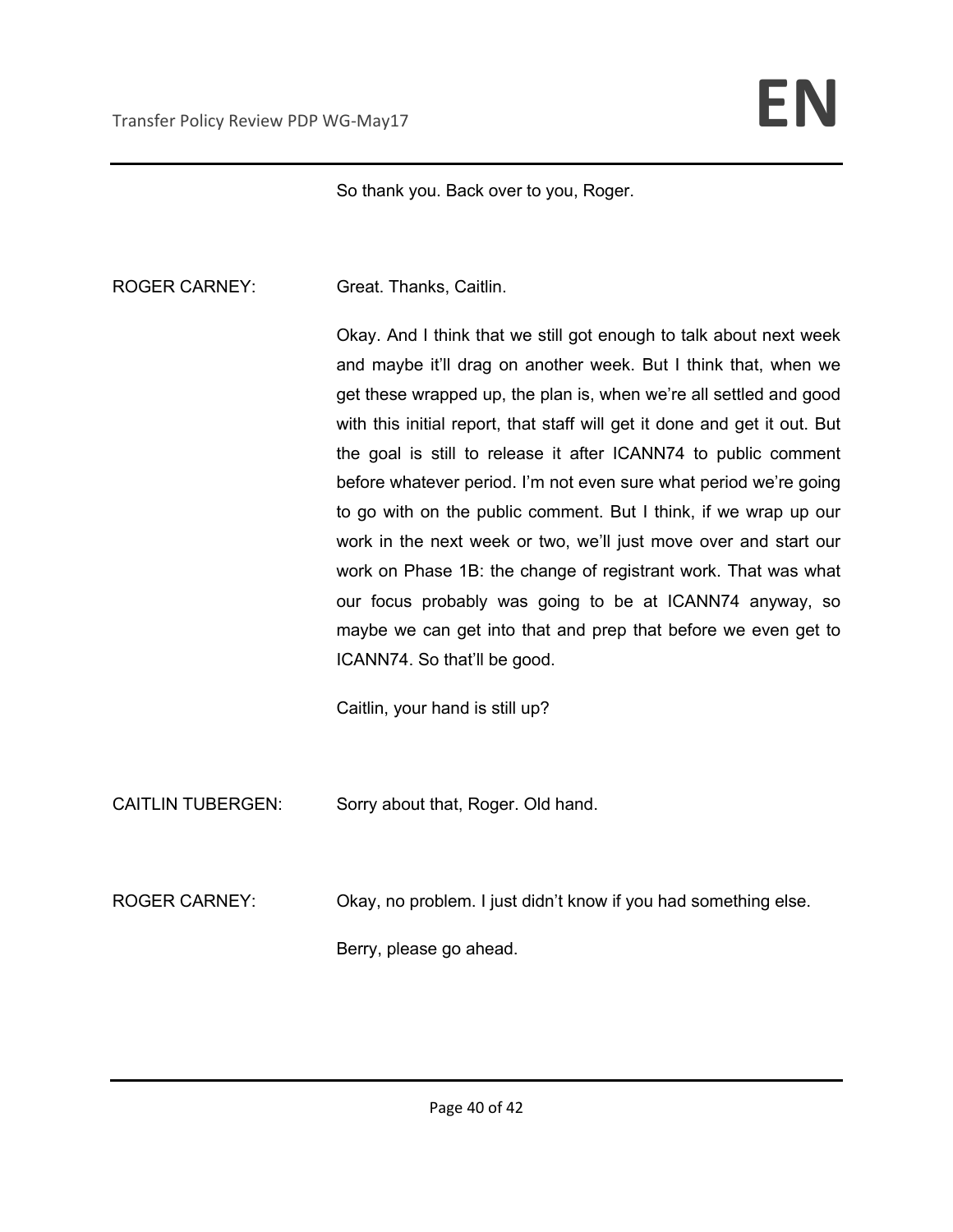So thank you. Back over to you, Roger.

ROGER CARNEY: Great. Thanks, Caitlin.

Okay. And I think that we still got enough to talk about next week and maybe it'll drag on another week. But I think that, when we get these wrapped up, the plan is, when we're all settled and good with this initial report, that staff will get it done and get it out. But the goal is still to release it after ICANN74 to public comment before whatever period. I'm not even sure what period we're going to go with on the public comment. But I think, if we wrap up our work in the next week or two, we'll just move over and start our work on Phase 1B: the change of registrant work. That was what our focus probably was going to be at ICANN74 anyway, so maybe we can get into that and prep that before we even get to ICANN74. So that'll be good.

Caitlin, your hand is still up?

CAITLIN TUBERGEN: Sorry about that, Roger. Old hand.

ROGER CARNEY: Okay, no problem. I just didn't know if you had something else.

Berry, please go ahead.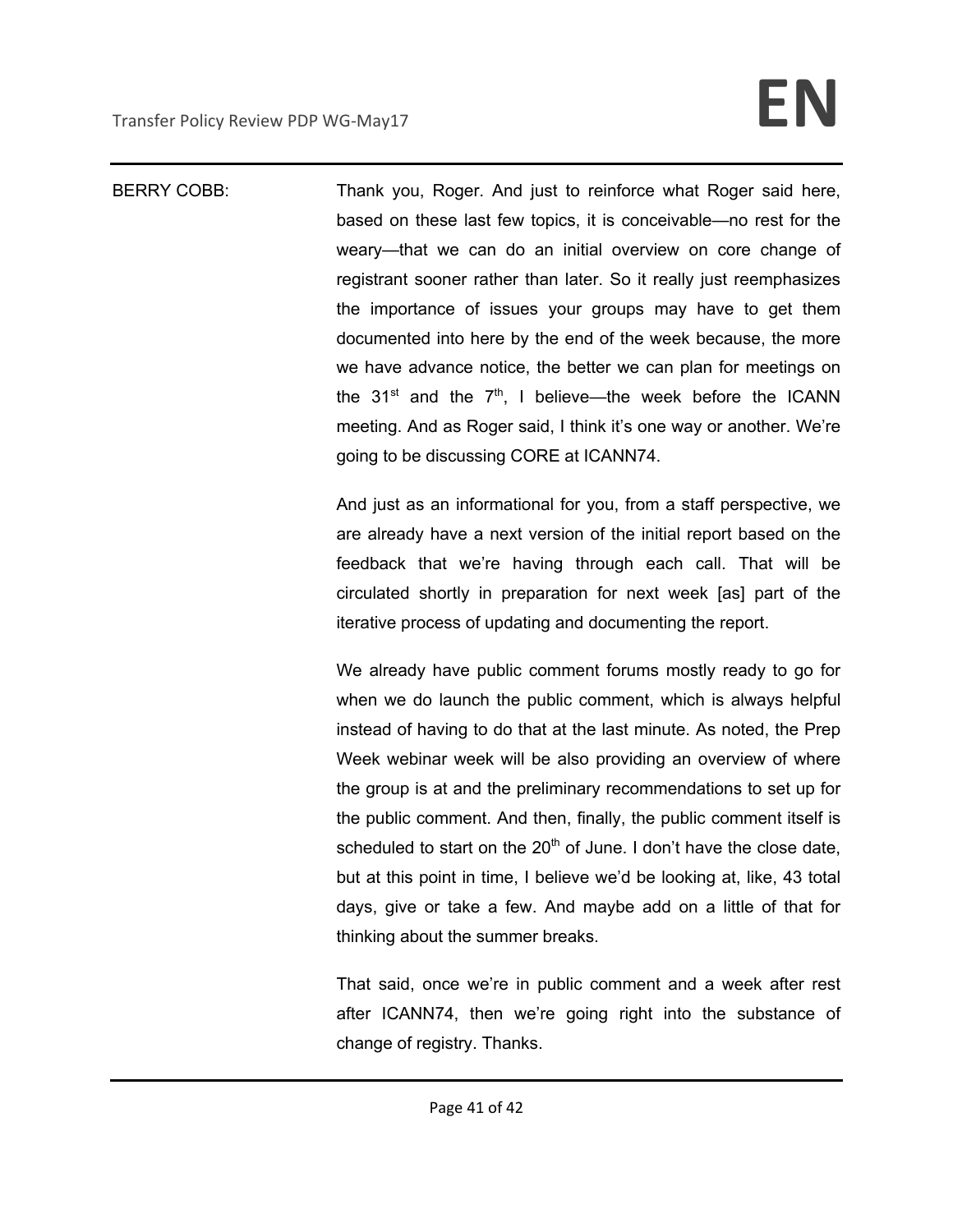BERRY COBB: Thank you, Roger. And just to reinforce what Roger said here, based on these last few topics, it is conceivable—no rest for the weary—that we can do an initial overview on core change of registrant sooner rather than later. So it really just reemphasizes the importance of issues your groups may have to get them documented into here by the end of the week because, the more we have advance notice, the better we can plan for meetings on the  $31^{st}$  and the  $7^{th}$ , I believe—the week before the ICANN meeting. And as Roger said, I think it's one way or another. We're going to be discussing CORE at ICANN74.

> And just as an informational for you, from a staff perspective, we are already have a next version of the initial report based on the feedback that we're having through each call. That will be circulated shortly in preparation for next week [as] part of the iterative process of updating and documenting the report.

> We already have public comment forums mostly ready to go for when we do launch the public comment, which is always helpful instead of having to do that at the last minute. As noted, the Prep Week webinar week will be also providing an overview of where the group is at and the preliminary recommendations to set up for the public comment. And then, finally, the public comment itself is scheduled to start on the  $20<sup>th</sup>$  of June. I don't have the close date, but at this point in time, I believe we'd be looking at, like, 43 total days, give or take a few. And maybe add on a little of that for thinking about the summer breaks.

> That said, once we're in public comment and a week after rest after ICANN74, then we're going right into the substance of change of registry. Thanks.